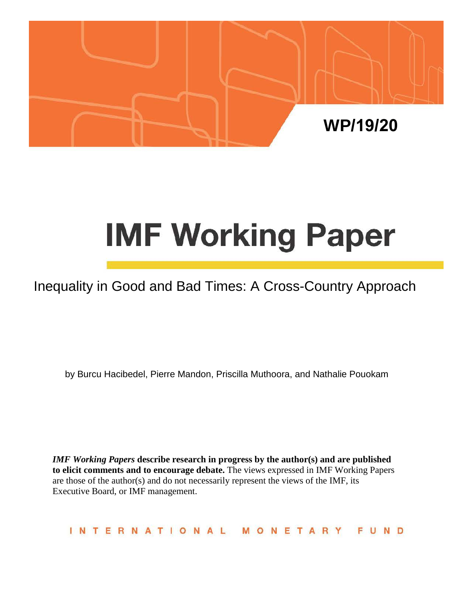

# **IMF Working Paper**

# Inequality in Good and Bad Times: A Cross-Country Approach

by Burcu Hacibedel, Pierre Mandon, Priscilla Muthoora, and Nathalie Pouokam

*IMF Working Papers* **describe research in progress by the author(s) and are published to elicit comments and to encourage debate.** The views expressed in IMF Working Papers are those of the author(s) and do not necessarily represent the views of the IMF, its Executive Board, or IMF management.

INTERNATIONAL MONETAR FUND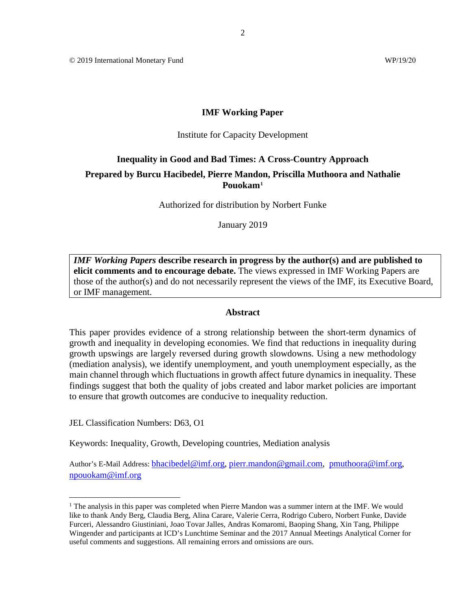© 2019 International Monetary Fund WP/19/20

#### **IMF Working Paper**

#### Institute for Capacity Development

# **Inequality in Good and Bad Times: A Cross-Country Approach**

# **Prepared by Burcu Hacibedel, Pierre Mandon, Priscilla Muthoora and Nathalie Pouokam[1](#page-1-0)**

Authorized for distribution by Norbert Funke

January 2019

*IMF Working Papers* **describe research in progress by the author(s) and are published to elicit comments and to encourage debate.** The views expressed in IMF Working Papers are those of the author(s) and do not necessarily represent the views of the IMF, its Executive Board, or IMF management.

# **Abstract**

This paper provides evidence of a strong relationship between the short-term dynamics of growth and inequality in developing economies. We find that reductions in inequality during growth upswings are largely reversed during growth slowdowns. Using a new methodology (mediation analysis), we identify unemployment, and youth unemployment especially, as the main channel through which fluctuations in growth affect future dynamics in inequality. These findings suggest that both the quality of jobs created and labor market policies are important to ensure that growth outcomes are conducive to inequality reduction.

JEL Classification Numbers: D63, O1

Keywords: Inequality, Growth, Developing countries, Mediation analysis

Author's E-Mail Address: **[bhacibedel@imf.org,](mailto:bhacibedel@imf.org) [pierr.mandon@gmail.com,](mailto:pierr.mandon@gmail.com) [pmuthoora@imf.org,](mailto:pmuthoora@imf.org)** npouokam@imf.org

<span id="page-1-0"></span><sup>&</sup>lt;sup>1</sup> The analysis in this paper was completed when Pierre Mandon was a summer intern at the IMF. We would like to thank Andy Berg, Claudia Berg, Alina Carare, Valerie Cerra, Rodrigo Cubero, Norbert Funke, Davide Furceri, Alessandro Giustiniani, Joao Tovar Jalles, Andras Komaromi, Baoping Shang, Xin Tang, Philippe Wingender and participants at ICD's Lunchtime Seminar and the 2017 Annual Meetings Analytical Corner for useful comments and suggestions. All remaining errors and omissions are ours.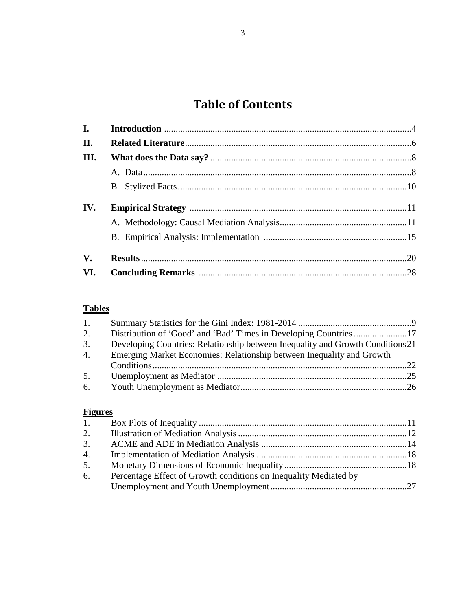# **Table of Contents**

| $\mathbf{I}$ . |  |
|----------------|--|
| II.            |  |
| Ш.             |  |
|                |  |
|                |  |
| IV.            |  |
|                |  |
|                |  |
| $V_{\cdot}$    |  |
| VI.            |  |

# **Tables**

| 1. |                                                                                |  |
|----|--------------------------------------------------------------------------------|--|
| 2. |                                                                                |  |
| 3. | Developing Countries: Relationship between Inequality and Growth Conditions 21 |  |
| 4. | Emerging Market Economies: Relationship between Inequality and Growth          |  |
|    |                                                                                |  |
| 5. |                                                                                |  |
|    |                                                                                |  |

# **Figures**

| 1. |                                                                  |  |
|----|------------------------------------------------------------------|--|
| 2. |                                                                  |  |
| 3. |                                                                  |  |
| 4. |                                                                  |  |
| 5. |                                                                  |  |
| 6. | Percentage Effect of Growth conditions on Inequality Mediated by |  |
|    |                                                                  |  |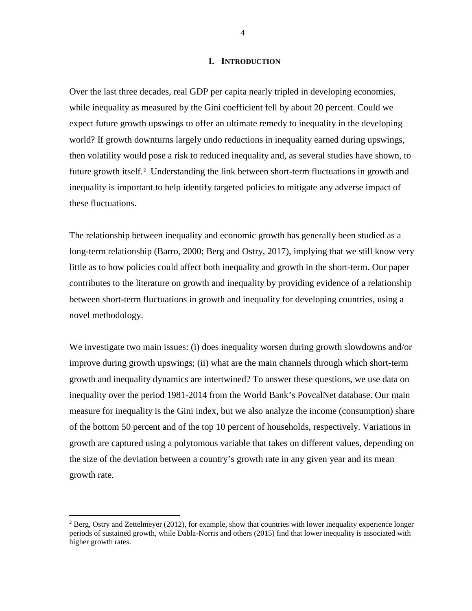# **I. INTRODUCTION**

Over the last three decades, real GDP per capita nearly tripled in developing economies, while inequality as measured by the Gini coefficient fell by about 20 percent. Could we expect future growth upswings to offer an ultimate remedy to inequality in the developing world? If growth downturns largely undo reductions in inequality earned during upswings, then volatility would pose a risk to reduced inequality and, as several studies have shown, to future growth itself.<sup>[2](#page-3-0)</sup> Understanding the link between short-term fluctuations in growth and inequality is important to help identify targeted policies to mitigate any adverse impact of these fluctuations.

The relationship between inequality and economic growth has generally been studied as a long-term relationship (Barro, 2000; Berg and Ostry, 2017), implying that we still know very little as to how policies could affect both inequality and growth in the short-term. Our paper contributes to the literature on growth and inequality by providing evidence of a relationship between short-term fluctuations in growth and inequality for developing countries, using a novel methodology.

We investigate two main issues: (i) does inequality worsen during growth slowdowns and/or improve during growth upswings; (ii) what are the main channels through which short-term growth and inequality dynamics are intertwined? To answer these questions, we use data on inequality over the period 1981-2014 from the World Bank's PovcalNet database. Our main measure for inequality is the Gini index, but we also analyze the income (consumption) share of the bottom 50 percent and of the top 10 percent of households, respectively. Variations in growth are captured using a polytomous variable that takes on different values, depending on the size of the deviation between a country's growth rate in any given year and its mean growth rate.

<span id="page-3-0"></span> $^2$  Berg, Ostry and Zettelmeyer (2012), for example, show that countries with lower inequality experience longer periods of sustained growth, while Dabla-Norris and others (2015) find that lower inequality is associated with higher growth rates.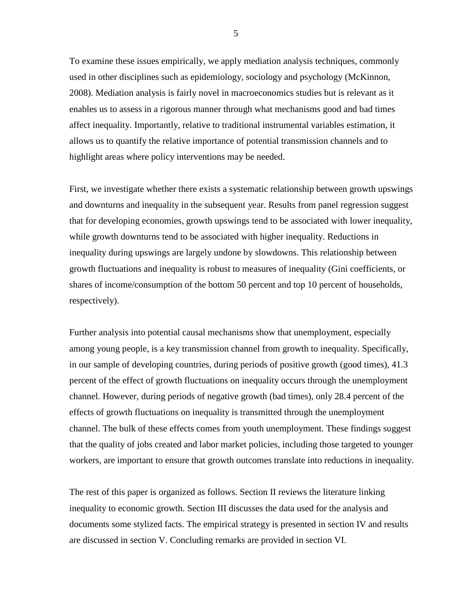To examine these issues empirically, we apply mediation analysis techniques, commonly used in other disciplines such as epidemiology, sociology and psychology (McKinnon, 2008). Mediation analysis is fairly novel in macroeconomics studies but is relevant as it enables us to assess in a rigorous manner through what mechanisms good and bad times affect inequality. Importantly, relative to traditional instrumental variables estimation, it allows us to quantify the relative importance of potential transmission channels and to highlight areas where policy interventions may be needed.

First, we investigate whether there exists a systematic relationship between growth upswings and downturns and inequality in the subsequent year. Results from panel regression suggest that for developing economies, growth upswings tend to be associated with lower inequality, while growth downturns tend to be associated with higher inequality. Reductions in inequality during upswings are largely undone by slowdowns. This relationship between growth fluctuations and inequality is robust to measures of inequality (Gini coefficients, or shares of income/consumption of the bottom 50 percent and top 10 percent of households, respectively).

Further analysis into potential causal mechanisms show that unemployment, especially among young people, is a key transmission channel from growth to inequality. Specifically, in our sample of developing countries, during periods of positive growth (good times), 41.3 percent of the effect of growth fluctuations on inequality occurs through the unemployment channel. However, during periods of negative growth (bad times), only 28.4 percent of the effects of growth fluctuations on inequality is transmitted through the unemployment channel. The bulk of these effects comes from youth unemployment. These findings suggest that the quality of jobs created and labor market policies, including those targeted to younger workers, are important to ensure that growth outcomes translate into reductions in inequality.

The rest of this paper is organized as follows. Section II reviews the literature linking inequality to economic growth. Section III discusses the data used for the analysis and documents some stylized facts. The empirical strategy is presented in section IV and results are discussed in section V. Concluding remarks are provided in section VI.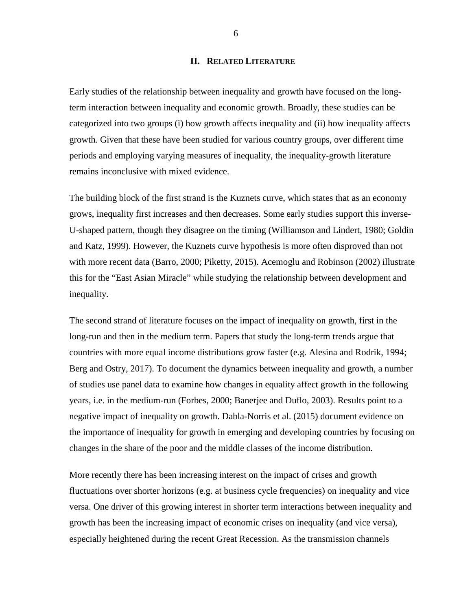# **II. RELATED LITERATURE**

Early studies of the relationship between inequality and growth have focused on the longterm interaction between inequality and economic growth. Broadly, these studies can be categorized into two groups (i) how growth affects inequality and (ii) how inequality affects growth. Given that these have been studied for various country groups, over different time periods and employing varying measures of inequality, the inequality-growth literature remains inconclusive with mixed evidence.

The building block of the first strand is the Kuznets curve, which states that as an economy grows, inequality first increases and then decreases. Some early studies support this inverse-U-shaped pattern, though they disagree on the timing (Williamson and Lindert, 1980; Goldin and Katz, 1999). However, the Kuznets curve hypothesis is more often disproved than not with more recent data (Barro, 2000; Piketty, 2015). Acemoglu and Robinson (2002) illustrate this for the "East Asian Miracle" while studying the relationship between development and inequality.

The second strand of literature focuses on the impact of inequality on growth, first in the long-run and then in the medium term. Papers that study the long-term trends argue that countries with more equal income distributions grow faster (e.g. Alesina and Rodrik, 1994; Berg and Ostry, 2017). To document the dynamics between inequality and growth, a number of studies use panel data to examine how changes in equality affect growth in the following years, i.e. in the medium-run (Forbes, 2000; Banerjee and Duflo, 2003). Results point to a negative impact of inequality on growth. Dabla-Norris et al. (2015) document evidence on the importance of inequality for growth in emerging and developing countries by focusing on changes in the share of the poor and the middle classes of the income distribution.

More recently there has been increasing interest on the impact of crises and growth fluctuations over shorter horizons (e.g. at business cycle frequencies) on inequality and vice versa. One driver of this growing interest in shorter term interactions between inequality and growth has been the increasing impact of economic crises on inequality (and vice versa), especially heightened during the recent Great Recession. As the transmission channels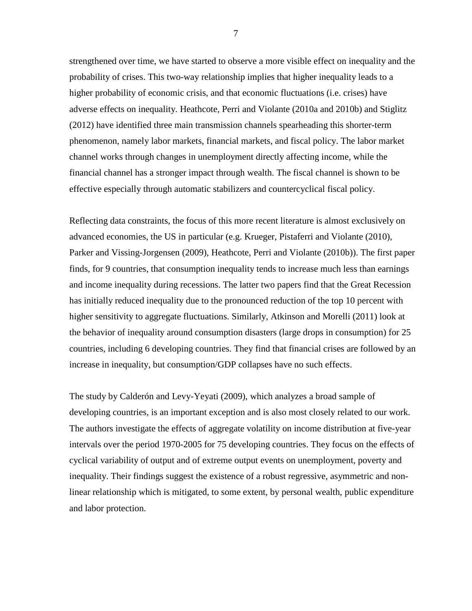strengthened over time, we have started to observe a more visible effect on inequality and the probability of crises. This two-way relationship implies that higher inequality leads to a higher probability of economic crisis, and that economic fluctuations (i.e. crises) have adverse effects on inequality. Heathcote, Perri and Violante (2010a and 2010b) and Stiglitz (2012) have identified three main transmission channels spearheading this shorter-term phenomenon, namely labor markets, financial markets, and fiscal policy. The labor market channel works through changes in unemployment directly affecting income, while the financial channel has a stronger impact through wealth. The fiscal channel is shown to be effective especially through automatic stabilizers and countercyclical fiscal policy.

Reflecting data constraints, the focus of this more recent literature is almost exclusively on advanced economies, the US in particular (e.g. Krueger, Pistaferri and Violante (2010), Parker and Vissing-Jorgensen (2009), Heathcote, Perri and Violante (2010b)). The first paper finds, for 9 countries, that consumption inequality tends to increase much less than earnings and income inequality during recessions. The latter two papers find that the Great Recession has initially reduced inequality due to the pronounced reduction of the top 10 percent with higher sensitivity to aggregate fluctuations. Similarly, Atkinson and Morelli (2011) look at the behavior of inequality around consumption disasters (large drops in consumption) for 25 countries, including 6 developing countries. They find that financial crises are followed by an increase in inequality, but consumption/GDP collapses have no such effects.

The study by Calderón and Levy-Yeyati (2009), which analyzes a broad sample of developing countries, is an important exception and is also most closely related to our work. The authors investigate the effects of aggregate volatility on income distribution at five-year intervals over the period 1970-2005 for 75 developing countries. They focus on the effects of cyclical variability of output and of extreme output events on unemployment, poverty and inequality. Their findings suggest the existence of a robust regressive, asymmetric and nonlinear relationship which is mitigated, to some extent, by personal wealth, public expenditure and labor protection.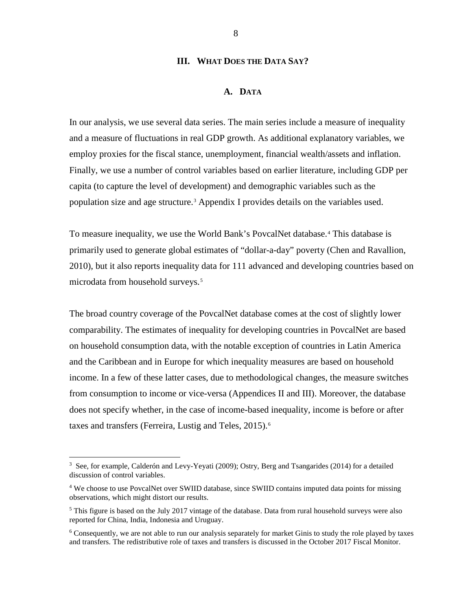# **III. WHAT DOES THE DATA SAY?**

#### **A. DATA**

In our analysis, we use several data series. The main series include a measure of inequality and a measure of fluctuations in real GDP growth. As additional explanatory variables, we employ proxies for the fiscal stance, unemployment, financial wealth/assets and inflation. Finally, we use a number of control variables based on earlier literature, including GDP per capita (to capture the level of development) and demographic variables such as the population size and age structure.[3](#page-7-0) Appendix I provides details on the variables used.

To measure inequality, we use the World Bank's PovcalNet database.[4](#page-7-1) This database is primarily used to generate global estimates of "dollar-a-day" poverty (Chen and Ravallion, 2010), but it also reports inequality data for 111 advanced and developing countries based on microdata from household surveys.<sup>[5](#page-7-2)</sup>

The broad country coverage of the PovcalNet database comes at the cost of slightly lower comparability. The estimates of inequality for developing countries in PovcalNet are based on household consumption data, with the notable exception of countries in Latin America and the Caribbean and in Europe for which inequality measures are based on household income. In a few of these latter cases, due to methodological changes, the measure switches from consumption to income or vice-versa (Appendices II and III). Moreover, the database does not specify whether, in the case of income-based inequality, income is before or after taxes and transfers (Ferreira, Lustig and Teles, 2015).<sup>[6](#page-7-3)</sup>

<span id="page-7-0"></span> $\frac{1}{3}$ <sup>3</sup> See, for example, Calderón and Levy-Yeyati (2009); Ostry, Berg and Tsangarides (2014) for a detailed discussion of control variables.

<span id="page-7-1"></span><sup>&</sup>lt;sup>4</sup> We choose to use PovcalNet over SWIID database, since SWIID contains imputed data points for missing observations, which might distort our results.

<span id="page-7-2"></span> $<sup>5</sup>$  This figure is based on the July 2017 vintage of the database. Data from rural household surveys were also</sup> reported for China, India, Indonesia and Uruguay.

<span id="page-7-3"></span><sup>&</sup>lt;sup>6</sup> Consequently, we are not able to run our analysis separately for market Ginis to study the role played by taxes and transfers. The redistributive role of taxes and transfers is discussed in the October 2017 Fiscal Monitor.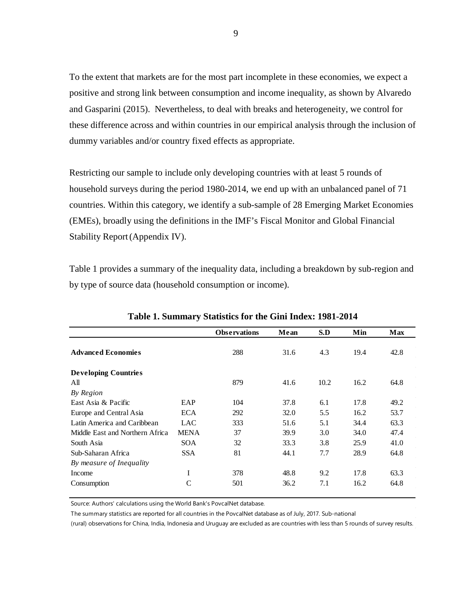To the extent that markets are for the most part incomplete in these economies, we expect a positive and strong link between consumption and income inequality, as shown by Alvaredo and Gasparini (2015). Nevertheless, to deal with breaks and heterogeneity, we control for these difference across and within countries in our empirical analysis through the inclusion of dummy variables and/or country fixed effects as appropriate.

Restricting our sample to include only developing countries with at least 5 rounds of household surveys during the period 1980-2014, we end up with an unbalanced panel of 71 countries. Within this category, we identify a sub-sample of 28 Emerging Market Economies (EMEs), broadly using the definitions in the IMF's Fiscal Monitor and Global Financial Stability Report(Appendix IV).

Table 1 provides a summary of the inequality data, including a breakdown by sub-region and by type of source data (household consumption or income).

|                                 |             | <b>Observations</b> | Mean | S.D  | Min  | <b>Max</b> |
|---------------------------------|-------------|---------------------|------|------|------|------------|
|                                 |             |                     |      |      |      |            |
| <b>Advanced Economies</b>       |             | 288                 | 31.6 | 4.3  | 19.4 | 42.8       |
| <b>Developing Countries</b>     |             |                     |      |      |      |            |
| All                             |             | 879                 | 41.6 | 10.2 | 16.2 | 64.8       |
| By Region                       |             |                     |      |      |      |            |
| East Asia & Pacific             | EAP         | 104                 | 37.8 | 6.1  | 17.8 | 49.2       |
| Europe and Central Asia         | <b>ECA</b>  | 292                 | 32.0 | 5.5  | 16.2 | 53.7       |
| Latin America and Caribbean     | LAC         | 333                 | 51.6 | 5.1  | 34.4 | 63.3       |
| Middle East and Northern Africa | <b>MENA</b> | 37                  | 39.9 | 3.0  | 34.0 | 47.4       |
| South Asia                      | <b>SOA</b>  | 32                  | 33.3 | 3.8  | 25.9 | 41.0       |
| Sub-Saharan Africa              | <b>SSA</b>  | 81                  | 44.1 | 7.7  | 28.9 | 64.8       |
| By measure of Inequality        |             |                     |      |      |      |            |
| Income                          | I           | 378                 | 48.8 | 9.2  | 17.8 | 63.3       |
| Consumption                     | C           | 501                 | 36.2 | 7.1  | 16.2 | 64.8       |

**Table 1. Summary Statistics for the Gini Index: 1981-2014**

Source: Authors' calculations using the World Bank's PovcalNet database.

The summary statistics are reported for all countries in the PovcalNet database as of July, 2017. Sub-national

(rural) observations for China, India, Indonesia and Uruguay are excluded as are countries with less than 5 rounds of survey results.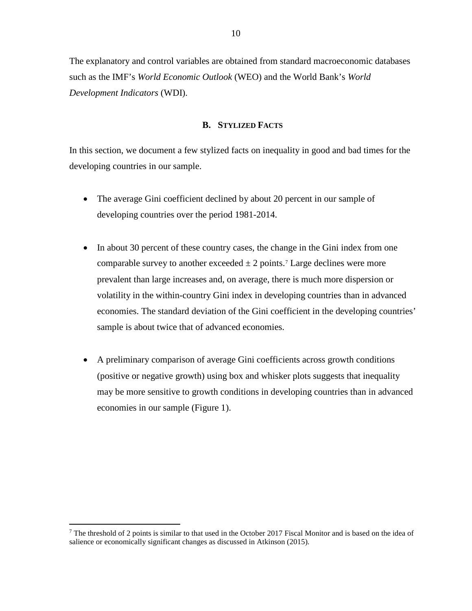The explanatory and control variables are obtained from standard macroeconomic databases such as the IMF's *World Economic Outlook* (WEO) and the World Bank's *World Development Indicators* (WDI).

# **B. STYLIZED FACTS**

In this section, we document a few stylized facts on inequality in good and bad times for the developing countries in our sample.

- The average Gini coefficient declined by about 20 percent in our sample of developing countries over the period 1981-2014.
- In about 30 percent of these country cases, the change in the Gini index from one comparable survey to another exceeded  $\pm 2$  points.<sup>[7](#page-9-0)</sup> Large declines were more prevalent than large increases and, on average, there is much more dispersion or volatility in the within-country Gini index in developing countries than in advanced economies. The standard deviation of the Gini coefficient in the developing countries' sample is about twice that of advanced economies.
- A preliminary comparison of average Gini coefficients across growth conditions (positive or negative growth) using box and whisker plots suggests that inequality may be more sensitive to growth conditions in developing countries than in advanced economies in our sample (Figure 1).

<span id="page-9-0"></span><sup>&</sup>lt;sup>7</sup> The threshold of 2 points is similar to that used in the October 2017 Fiscal Monitor and is based on the idea of salience or economically significant changes as discussed in Atkinson (2015).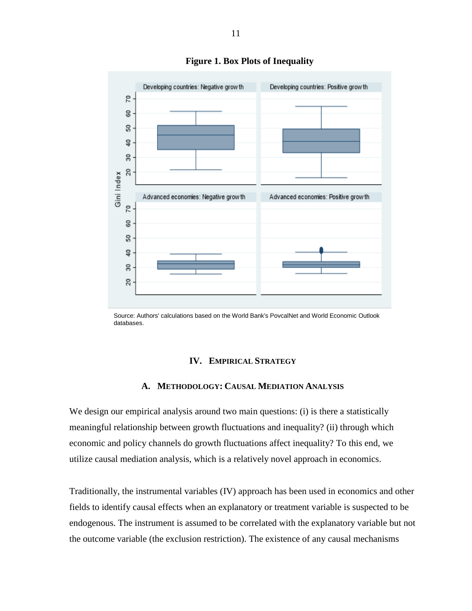

**Figure 1. Box Plots of Inequality** 

Source: Authors' calculations based on the World Bank's PovcalNet and World Economic Outlook databases.

#### **IV. EMPIRICAL STRATEGY**

# **A. METHODOLOGY: CAUSAL MEDIATION ANALYSIS**

We design our empirical analysis around two main questions: (i) is there a statistically meaningful relationship between growth fluctuations and inequality? (ii) through which economic and policy channels do growth fluctuations affect inequality? To this end, we utilize causal mediation analysis, which is a relatively novel approach in economics.

Traditionally, the instrumental variables (IV) approach has been used in economics and other fields to identify causal effects when an explanatory or treatment variable is suspected to be endogenous. The instrument is assumed to be correlated with the explanatory variable but not the outcome variable (the exclusion restriction). The existence of any causal mechanisms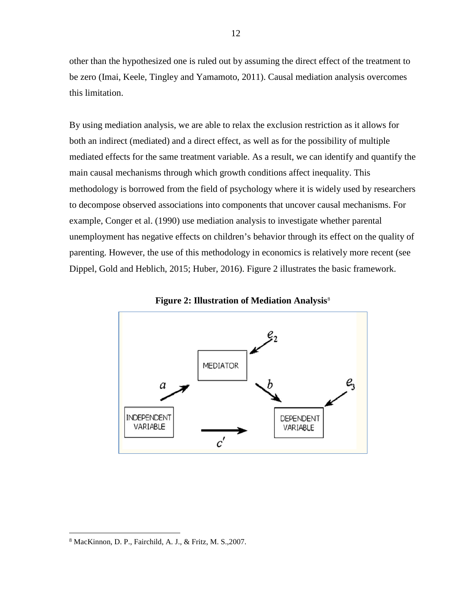other than the hypothesized one is ruled out by assuming the direct effect of the treatment to be zero (Imai, Keele, Tingley and Yamamoto, 2011). Causal mediation analysis overcomes this limitation.

By using mediation analysis, we are able to relax the exclusion restriction as it allows for both an indirect (mediated) and a direct effect, as well as for the possibility of multiple mediated effects for the same treatment variable. As a result, we can identify and quantify the main causal mechanisms through which growth conditions affect inequality. This methodology is borrowed from the field of psychology where it is widely used by researchers to decompose observed associations into components that uncover causal mechanisms. For example, Conger et al. (1990) use mediation analysis to investigate whether parental unemployment has negative effects on children's behavior through its effect on the quality of parenting. However, the use of this methodology in economics is relatively more recent (see Dippel, Gold and Heblich, 2015; Huber, 2016). Figure 2 illustrates the basic framework.





<span id="page-11-0"></span> <sup>8</sup> MacKinnon, D. P., Fairchild, A. J., & Fritz, M. S.,2007.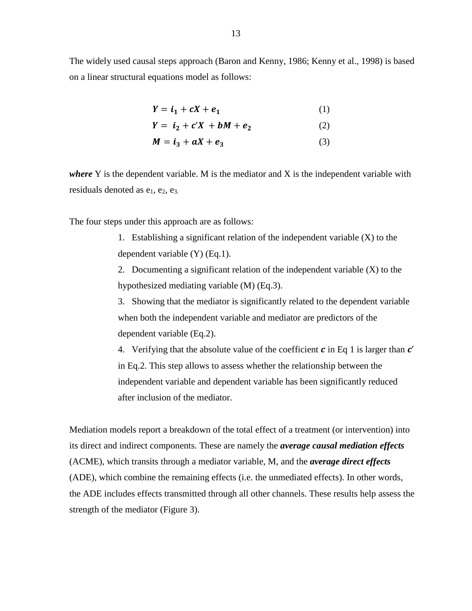The widely used causal steps approach (Baron and Kenny, 1986; Kenny et al., 1998) is based on a linear structural equations model as follows:

| $Y = i_1 + cX + e_1$ |  |  |   |  | (1) |
|----------------------|--|--|---|--|-----|
| $\mathbf{v}$         |  |  | . |  |     |

 $Y = i_2 + c'X + bM + e_2$  (2)

 $M = i_3 + aX + e_3$  (3)

where Y is the dependent variable. M is the mediator and X is the independent variable with residuals denoted as  $e_1$ ,  $e_2$ ,  $e_3$ .

The four steps under this approach are as follows:

1. Establishing a significant relation of the independent variable (X) to the dependent variable (Y) (Eq.1).

2. Documenting a significant relation of the independent variable (X) to the hypothesized mediating variable (M) (Eq.3).

3. Showing that the mediator is significantly related to the dependent variable when both the independent variable and mediator are predictors of the dependent variable (Eq.2).

4. Verifying that the absolute value of the coefficient  $\bm{c}$  in Eq 1 is larger than  $\bm{c}'$ in Eq.2. This step allows to assess whether the relationship between the independent variable and dependent variable has been significantly reduced after inclusion of the mediator.

Mediation models report a breakdown of the total effect of a treatment (or intervention) into its direct and indirect components. These are namely the *average causal mediation effects* (ACME), which transits through a mediator variable, M, and the *average direct effects*  (ADE), which combine the remaining effects (i.e. the unmediated effects). In other words, the ADE includes effects transmitted through all other channels. These results help assess the strength of the mediator (Figure 3).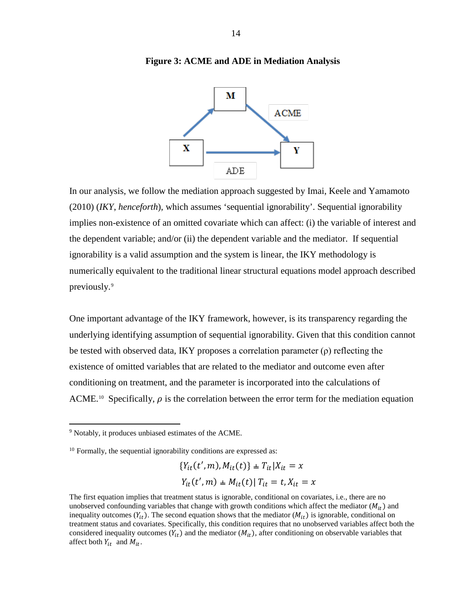

#### **Figure 3: ACME and ADE in Mediation Analysis**

In our analysis, we follow the mediation approach suggested by Imai, Keele and Yamamoto (2010) (*IKY*, *henceforth*), which assumes 'sequential ignorability'. Sequential ignorability implies non-existence of an omitted covariate which can affect: (i) the variable of interest and the dependent variable; and/or (ii) the dependent variable and the mediator. If sequential ignorability is a valid assumption and the system is linear, the IKY methodology is numerically equivalent to the traditional linear structural equations model approach described previously.[9](#page-13-0)

One important advantage of the IKY framework, however, is its transparency regarding the underlying identifying assumption of sequential ignorability. Given that this condition cannot be tested with observed data, IKY proposes a correlation parameter  $(\rho)$  reflecting the existence of omitted variables that are related to the mediator and outcome even after conditioning on treatment, and the parameter is incorporated into the calculations of ACME.<sup>[10](#page-13-1)</sup> Specifically,  $\rho$  is the correlation between the error term for the mediation equation

$$
\{Y_{it}(t',m), M_{it}(t)\} \pm T_{it}|X_{it} = x
$$

$$
Y_{it}(t',m) \pm M_{it}(t)|T_{it} = t, X_{it} = x
$$

<span id="page-13-0"></span> <sup>9</sup> Notably, it produces unbiased estimates of the ACME.

<span id="page-13-1"></span> $10$  Formally, the sequential ignorability conditions are expressed as:

The first equation implies that treatment status is ignorable, conditional on covariates, i.e., there are no unobserved confounding variables that change with growth conditions which affect the mediator  $(M_{it})$  and inequality outcomes  $(Y_{it})$ . The second equation shows that the mediator  $(M_{it})$  is ignorable, conditional on treatment status and covariates. Specifically, this condition requires that no unobserved variables affect both the considered inequality outcomes  $(Y_{it})$  and the mediator  $(M_{it})$ , after conditioning on observable variables that affect both  $Y_{it}$  and  $M_{it}$ .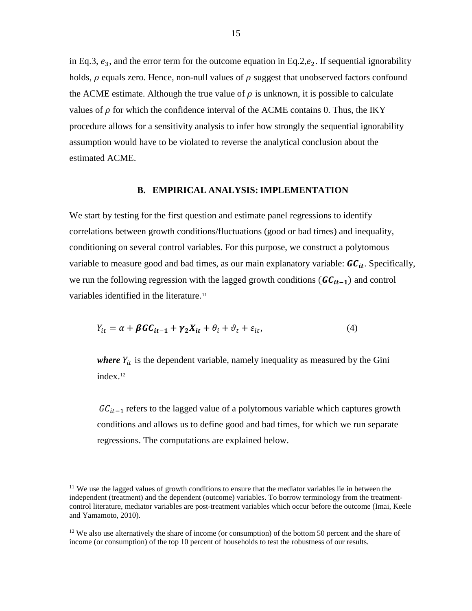in Eq.3,  $e_3$ , and the error term for the outcome equation in Eq.2, $e_2$ . If sequential ignorability holds,  $\rho$  equals zero. Hence, non-null values of  $\rho$  suggest that unobserved factors confound the ACME estimate. Although the true value of  $\rho$  is unknown, it is possible to calculate values of  $\rho$  for which the confidence interval of the ACME contains 0. Thus, the IKY procedure allows for a sensitivity analysis to infer how strongly the sequential ignorability assumption would have to be violated to reverse the analytical conclusion about the estimated ACME.

#### **B. EMPIRICAL ANALYSIS: IMPLEMENTATION**

We start by testing for the first question and estimate panel regressions to identify correlations between growth conditions/fluctuations (good or bad times) and inequality, conditioning on several control variables. For this purpose, we construct a polytomous variable to measure good and bad times, as our main explanatory variable:  $GC_{it}$ . Specifically, we run the following regression with the lagged growth conditions ( $GC_{it-1}$ ) and control variables identified in the literature.<sup>[11](#page-14-0)</sup>

$$
Y_{it} = \alpha + \beta G C_{it-1} + \gamma_2 X_{it} + \theta_i + \vartheta_t + \varepsilon_{it},\tag{4}
$$

*where*  $Y_{it}$  is the dependent variable, namely inequality as measured by the Gini index.[12](#page-14-1)

 $GC_{it-1}$  refers to the lagged value of a polytomous variable which captures growth conditions and allows us to define good and bad times, for which we run separate regressions. The computations are explained below.

<span id="page-14-0"></span> $11$  We use the lagged values of growth conditions to ensure that the mediator variables lie in between the independent (treatment) and the dependent (outcome) variables. To borrow terminology from the treatmentcontrol literature, mediator variables are post-treatment variables which occur before the outcome (Imai, Keele and Yamamoto, 2010).

<span id="page-14-1"></span> $12$  We also use alternatively the share of income (or consumption) of the bottom 50 percent and the share of income (or consumption) of the top 10 percent of households to test the robustness of our results.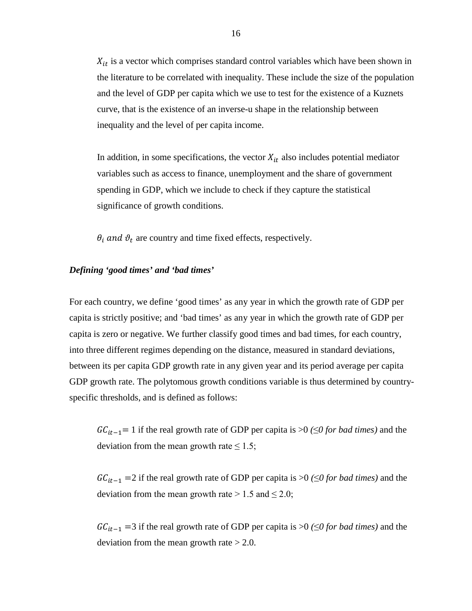$X_{it}$  is a vector which comprises standard control variables which have been shown in the literature to be correlated with inequality. These include the size of the population and the level of GDP per capita which we use to test for the existence of a Kuznets curve, that is the existence of an inverse-u shape in the relationship between inequality and the level of per capita income.

In addition, in some specifications, the vector  $X_{it}$  also includes potential mediator variables such as access to finance, unemployment and the share of government spending in GDP, which we include to check if they capture the statistical significance of growth conditions.

 $\theta_i$  and  $\vartheta_t$  are country and time fixed effects, respectively.

### *Defining 'good times' and 'bad times'*

For each country, we define 'good times' as any year in which the growth rate of GDP per capita is strictly positive; and 'bad times' as any year in which the growth rate of GDP per capita is zero or negative. We further classify good times and bad times, for each country, into three different regimes depending on the distance, measured in standard deviations, between its per capita GDP growth rate in any given year and its period average per capita GDP growth rate. The polytomous growth conditions variable is thus determined by countryspecific thresholds, and is defined as follows:

 $GC_{it-1}=1$  if the real growth rate of GDP per capita is >0 ( $\leq$ *0 for bad times*) and the deviation from the mean growth rate  $\leq 1.5$ ;

 $GC_{it-1}$  =2 if the real growth rate of GDP per capita is >0 ( $\leq$ 0 *for bad times*) and the deviation from the mean growth rate  $> 1.5$  and  $\leq 2.0$ ;

 $GC_{it-1}$  =3 if the real growth rate of GDP per capita is >0 ( $\leq$ 0 for bad times) and the deviation from the mean growth rate  $> 2.0$ .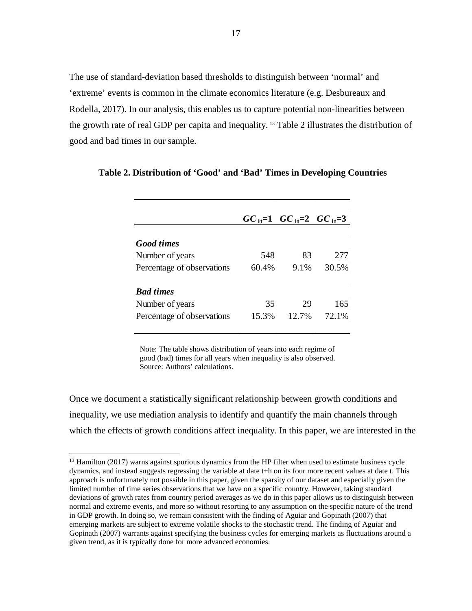The use of standard-deviation based thresholds to distinguish between 'normal' and 'extreme' events is common in the climate economics literature (e.g. Desbureaux and Rodella, 2017). In our analysis, this enables us to capture potential non-linearities between the growth rate of real GDP per capita and inequality. [13](#page-16-0) Table 2 illustrates the distribution of good and bad times in our sample.

|                            |       | $GC_{it} = 1$ $GC_{it} = 2$ $GC_{it} = 3$ |       |
|----------------------------|-------|-------------------------------------------|-------|
| <b>Good times</b>          |       |                                           |       |
| Number of years            | 548   | 83                                        | 277   |
| Percentage of observations | 60.4% | $9.1\%$                                   | 30.5% |
| <b>Bad times</b>           |       |                                           |       |
| Number of years            | 35    | 29                                        | 165   |
| Percentage of observations | 15.3% | 12.7%                                     | 72.1% |

#### **Table 2. Distribution of 'Good' and 'Bad' Times in Developing Countries**

Note: The table shows distribution of years into each regime of good (bad) times for all years when inequality is also observed. Source: Authors' calculations.

Once we document a statistically significant relationship between growth conditions and inequality, we use mediation analysis to identify and quantify the main channels through which the effects of growth conditions affect inequality. In this paper, we are interested in the

<span id="page-16-0"></span><sup>&</sup>lt;sup>13</sup> Hamilton (2017) warns against spurious dynamics from the HP filter when used to estimate business cycle dynamics, and instead suggests regressing the variable at date t+h on its four more recent values at date t. This approach is unfortunately not possible in this paper, given the sparsity of our dataset and especially given the limited number of time series observations that we have on a specific country. However, taking standard deviations of growth rates from country period averages as we do in this paper allows us to distinguish between normal and extreme events, and more so without resorting to any assumption on the specific nature of the trend in GDP growth. In doing so, we remain consistent with the finding of Aguiar and Gopinath (2007) that emerging markets are subject to extreme volatile shocks to the stochastic trend. The finding of Aguiar and Gopinath (2007) warrants against specifying the business cycles for emerging markets as fluctuations around a given trend, as it is typically done for more advanced economies.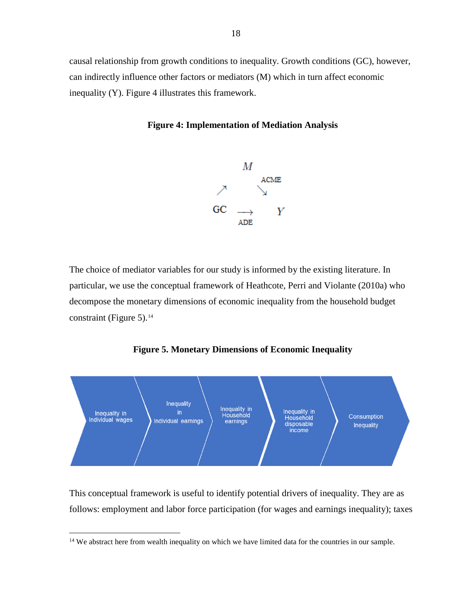causal relationship from growth conditions to inequality. Growth conditions (GC), however, can indirectly influence other factors or mediators (M) which in turn affect economic inequality (Y). Figure 4 illustrates this framework.

# **Figure 4: Implementation of Mediation Analysis**



The choice of mediator variables for our study is informed by the existing literature. In particular, we use the conceptual framework of Heathcote, Perri and Violante (2010a) who decompose the monetary dimensions of economic inequality from the household budget constraint (Figure 5). $14$ 





This conceptual framework is useful to identify potential drivers of inequality. They are as follows: employment and labor force participation (for wages and earnings inequality); taxes

<span id="page-17-0"></span><sup>&</sup>lt;sup>14</sup> We abstract here from wealth inequality on which we have limited data for the countries in our sample.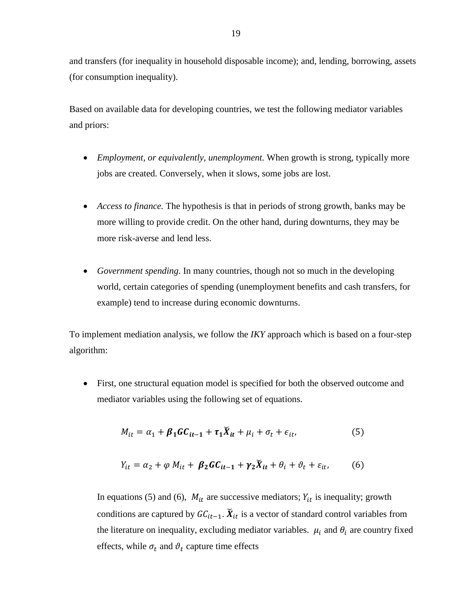and transfers (for inequality in household disposable income); and, lending, borrowing, assets (for consumption inequality).

Based on available data for developing countries, we test the following mediator variables and priors:

- *Employment, or equivalently, unemployment.* When growth is strong, typically more jobs are created. Conversely, when it slows, some jobs are lost.
- *Access to finance.* The hypothesis is that in periods of strong growth, banks may be more willing to provide credit. On the other hand, during downturns, they may be more risk-averse and lend less.
- *Government spending*. In many countries, though not so much in the developing world, certain categories of spending (unemployment benefits and cash transfers, for example) tend to increase during economic downturns.

To implement mediation analysis, we follow the *IKY* approach which is based on a four-step algorithm:

• First, one structural equation model is specified for both the observed outcome and mediator variables using the following set of equations.

$$
M_{it} = \alpha_1 + \beta_1 G C_{it-1} + \tau_1 \breve{X}_{it} + \mu_i + \sigma_t + \epsilon_{it}, \tag{5}
$$

$$
Y_{it} = \alpha_2 + \varphi M_{it} + \beta_2 \mathbf{G} \mathbf{C}_{it-1} + \gamma_2 \breve{X}_{it} + \theta_i + \vartheta_t + \varepsilon_{it}, \qquad (6)
$$

In equations (5) and (6),  $M_{it}$  are successive mediators;  $Y_{it}$  is inequality; growth conditions are captured by  $GC_{it-1}$ .  $\breve{X}_{it}$  is a vector of standard control variables from the literature on inequality, excluding mediator variables.  $\mu_i$  and  $\theta_i$  are country fixed effects, while  $\sigma_t$  and  $\vartheta_t$  capture time effects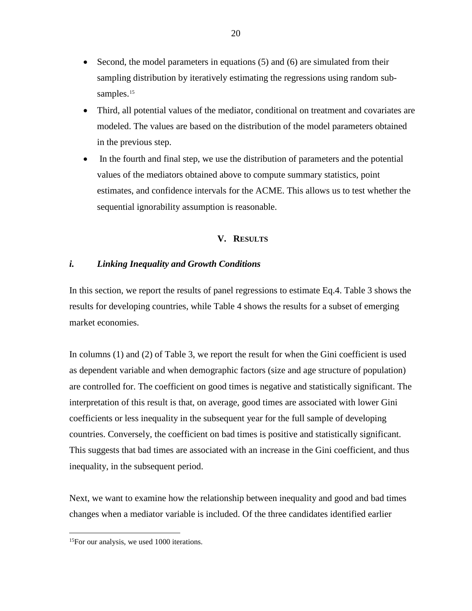- Second, the model parameters in equations (5) and (6) are simulated from their sampling distribution by iteratively estimating the regressions using random sub-samples.<sup>[15](#page-19-0)</sup>
- Third, all potential values of the mediator, conditional on treatment and covariates are modeled. The values are based on the distribution of the model parameters obtained in the previous step.
- In the fourth and final step, we use the distribution of parameters and the potential values of the mediators obtained above to compute summary statistics, point estimates, and confidence intervals for the ACME. This allows us to test whether the sequential ignorability assumption is reasonable.

# **V. RESULTS**

# *i. Linking Inequality and Growth Conditions*

In this section, we report the results of panel regressions to estimate Eq.4. Table 3 shows the results for developing countries, while Table 4 shows the results for a subset of emerging market economies.

In columns (1) and (2) of Table 3, we report the result for when the Gini coefficient is used as dependent variable and when demographic factors (size and age structure of population) are controlled for. The coefficient on good times is negative and statistically significant. The interpretation of this result is that, on average, good times are associated with lower Gini coefficients or less inequality in the subsequent year for the full sample of developing countries. Conversely, the coefficient on bad times is positive and statistically significant. This suggests that bad times are associated with an increase in the Gini coefficient, and thus inequality, in the subsequent period.

Next, we want to examine how the relationship between inequality and good and bad times changes when a mediator variable is included. Of the three candidates identified earlier

<span id="page-19-0"></span><sup>&</sup>lt;sup>15</sup>For our analysis, we used 1000 iterations.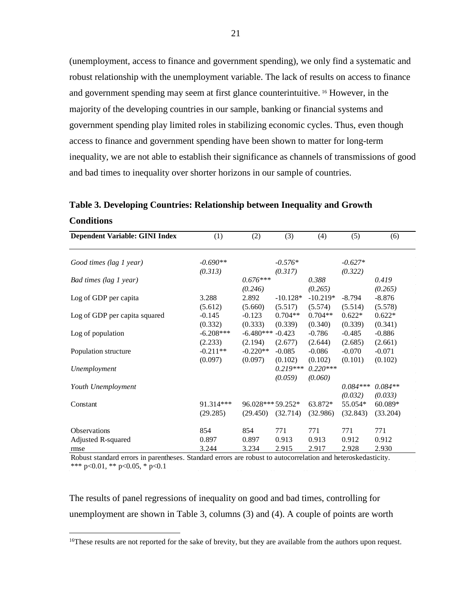(unemployment, access to finance and government spending), we only find a systematic and robust relationship with the unemployment variable. The lack of results on access to finance and government spending may seem at first glance counterintuitive. [16](#page-20-0) However, in the majority of the developing countries in our sample, banking or financial systems and government spending play limited roles in stabilizing economic cycles. Thus, even though access to finance and government spending have been shown to matter for long-term inequality, we are not able to establish their significance as channels of transmissions of good and bad times to inequality over shorter horizons in our sample of countries.

**Table 3. Developing Countries: Relationship between Inequality and Growth Conditions**

| <b>Dependent Variable: GINI Index</b> | (1)         | (2)               | (3)        | (4)        | (5)        | (6)       |
|---------------------------------------|-------------|-------------------|------------|------------|------------|-----------|
| Good times (lag 1 year)               | $-0.690**$  |                   | $-0.576*$  |            | $-0.627*$  |           |
|                                       | (0.313)     |                   | (0.317)    |            | (0.322)    |           |
| Bad times (lag 1 year)                |             | $0.676***$        |            | 0.388      |            | 0.419     |
|                                       |             | (0.246)           |            | (0.265)    |            | (0.265)   |
| Log of GDP per capita                 | 3.288       | 2.892             | $-10.128*$ | $-10.219*$ | $-8.794$   | $-8.876$  |
|                                       | (5.612)     | (5.660)           | (5.517)    | (5.574)    | (5.514)    | (5.578)   |
| Log of GDP per capita squared         | $-0.145$    | $-0.123$          | $0.704**$  | $0.704**$  | $0.622*$   | $0.622*$  |
|                                       | (0.332)     | (0.333)           | (0.339)    | (0.340)    | (0.339)    | (0.341)   |
| Log of population                     | $-6.208***$ | $-6.480***$       | $-0.423$   | $-0.786$   | $-0.485$   | $-0.886$  |
|                                       | (2.233)     | (2.194)           | (2.677)    | (2.644)    | (2.685)    | (2.661)   |
| Population structure                  | $-0.211**$  | $-0.220**$        | $-0.085$   | $-0.086$   | $-0.070$   | $-0.071$  |
|                                       | (0.097)     | (0.097)           | (0.102)    | (0.102)    | (0.101)    | (0.102)   |
| Unemployment                          |             |                   | $0.219***$ | $0.220***$ |            |           |
|                                       |             |                   | (0.059)    | (0.060)    |            |           |
| Youth Unemployment                    |             |                   |            |            | $0.084***$ | $0.084**$ |
|                                       |             |                   |            |            | (0.032)    | (0.033)   |
| Constant                              | 91.314***   | 96.028*** 59.252* |            | 63.872*    | 55.054*    | $60.089*$ |
|                                       | (29.285)    | (29.450)          | (32.714)   | (32.986)   | (32.843)   | (33.204)  |
| Observations                          | 854         | 854               | 771        | 771        | 771        | 771       |
| Adjusted R-squared                    | 0.897       | 0.897             | 0.913      | 0.913      | 0.912      | 0.912     |
| rmse                                  | 3.244       | 3.234             | 2.915      | 2.917      | 2.928      | 2.930     |

Robust standard errors in parentheses. Standard errors are robust to autocorrelation and heteroskedasticity. \*\*\* p<0.01, \*\* p<0.05, \* p<0.1

The results of panel regressions of inequality on good and bad times, controlling for unemployment are shown in Table 3, columns (3) and (4). A couple of points are worth

<span id="page-20-0"></span><sup>&</sup>lt;sup>16</sup>These results are not reported for the sake of brevity, but they are available from the authors upon request.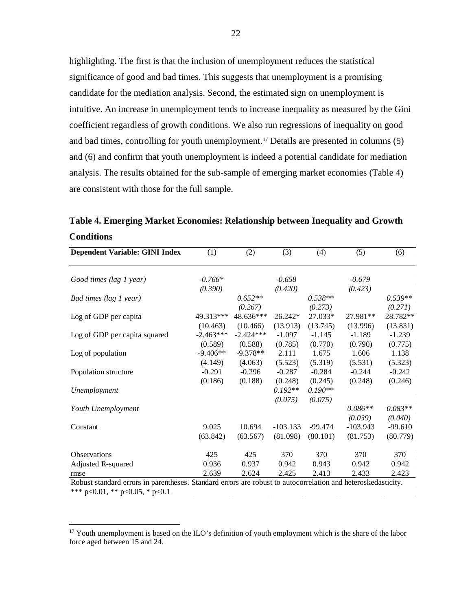highlighting. The first is that the inclusion of unemployment reduces the statistical significance of good and bad times. This suggests that unemployment is a promising candidate for the mediation analysis. Second, the estimated sign on unemployment is intuitive. An increase in unemployment tends to increase inequality as measured by the Gini coefficient regardless of growth conditions. We also run regressions of inequality on good and bad times, controlling for youth unemployment.[17](#page-21-0) Details are presented in columns (5) and (6) and confirm that youth unemployment is indeed a potential candidate for mediation analysis. The results obtained for the sub-sample of emerging market economies (Table 4) are consistent with those for the full sample.

**Table 4. Emerging Market Economies: Relationship between Inequality and Growth Conditions**

| <b>Dependent Variable: GINI Index</b> | (1)         | (2)         | (3)        | (4)       | (5)        | (6)       |
|---------------------------------------|-------------|-------------|------------|-----------|------------|-----------|
| Good times (lag 1 year)               | $-0.766*$   |             | $-0.658$   |           | $-0.679$   |           |
|                                       | (0.390)     |             | (0.420)    |           | (0.423)    |           |
| Bad times (lag 1 year)                |             | $0.652**$   |            | $0.538**$ |            | $0.539**$ |
|                                       |             | (0.267)     |            | (0.273)   |            | (0.271)   |
| Log of GDP per capita                 | 49.313***   | 48.636***   | 26.242*    | 27.033*   | 27.981**   | 28.782**  |
|                                       | (10.463)    | (10.466)    | (13.913)   | (13.745)  | (13.996)   | (13.831)  |
| Log of GDP per capita squared         | $-2.463***$ | $-2.424***$ | $-1.097$   | $-1.145$  | $-1.189$   | $-1.239$  |
|                                       | (0.589)     | (0.588)     | (0.785)    | (0.770)   | (0.790)    | (0.775)   |
| Log of population                     | $-9.406**$  | $-9.378**$  | 2.111      | 1.675     | 1.606      | 1.138     |
|                                       | (4.149)     | (4.063)     | (5.523)    | (5.319)   | (5.531)    | (5.323)   |
| Population structure                  | $-0.291$    | $-0.296$    | $-0.287$   | $-0.284$  | $-0.244$   | $-0.242$  |
|                                       | (0.186)     | (0.188)     | (0.248)    | (0.245)   | (0.248)    | (0.246)   |
| Unemployment                          |             |             | $0.192**$  | $0.190**$ |            |           |
|                                       |             |             | (0.075)    | (0.075)   |            |           |
| Youth Unemployment                    |             |             |            |           | $0.086**$  | $0.083**$ |
|                                       |             |             |            |           | (0.039)    | (0.040)   |
| Constant                              | 9.025       | 10.694      | $-103.133$ | $-99.474$ | $-103.943$ | $-99.610$ |
|                                       | (63.842)    | (63.567)    | (81.098)   | (80.101)  | (81.753)   | (80.779)  |
| Observations                          | 425         | 425         | 370        | 370       | 370        | 370       |
| Adjusted R-squared                    | 0.936       | 0.937       | 0.942      | 0.943     | 0.942      | 0.942     |
| rmse                                  | 2.639       | 2.624       | 2.425      | 2.413     | 2.433      | 2.423     |

Robust standard errors in parentheses. Standard errors are robust to autocorrelation and heteroskedasticity. \*\*\* p<0.01, \*\* p<0.05, \* p<0.1

<span id="page-21-0"></span> $17$  Youth unemployment is based on the ILO's definition of youth employment which is the share of the labor force aged between 15 and 24.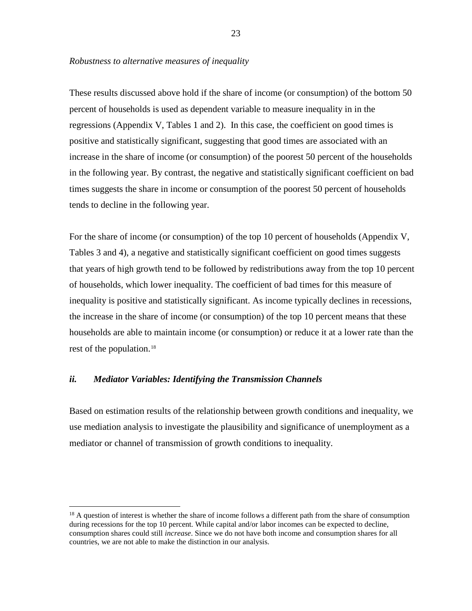# *Robustness to alternative measures of inequality*

These results discussed above hold if the share of income (or consumption) of the bottom 50 percent of households is used as dependent variable to measure inequality in in the regressions (Appendix V, Tables 1 and 2). In this case, the coefficient on good times is positive and statistically significant, suggesting that good times are associated with an increase in the share of income (or consumption) of the poorest 50 percent of the households in the following year. By contrast, the negative and statistically significant coefficient on bad times suggests the share in income or consumption of the poorest 50 percent of households tends to decline in the following year.

For the share of income (or consumption) of the top 10 percent of households (Appendix V, Tables 3 and 4), a negative and statistically significant coefficient on good times suggests that years of high growth tend to be followed by redistributions away from the top 10 percent of households, which lower inequality. The coefficient of bad times for this measure of inequality is positive and statistically significant. As income typically declines in recessions, the increase in the share of income (or consumption) of the top 10 percent means that these households are able to maintain income (or consumption) or reduce it at a lower rate than the rest of the population.[18](#page-22-0)

# *ii. Mediator Variables: Identifying the Transmission Channels*

Based on estimation results of the relationship between growth conditions and inequality, we use mediation analysis to investigate the plausibility and significance of unemployment as a mediator or channel of transmission of growth conditions to inequality.

<span id="page-22-0"></span><sup>&</sup>lt;sup>18</sup> A question of interest is whether the share of income follows a different path from the share of consumption during recessions for the top 10 percent. While capital and/or labor incomes can be expected to decline, consumption shares could still *increase*. Since we do not have both income and consumption shares for all countries, we are not able to make the distinction in our analysis.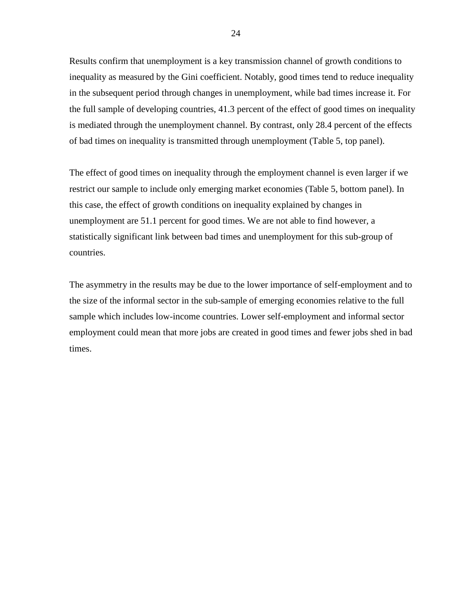Results confirm that unemployment is a key transmission channel of growth conditions to inequality as measured by the Gini coefficient. Notably, good times tend to reduce inequality in the subsequent period through changes in unemployment, while bad times increase it. For the full sample of developing countries, 41.3 percent of the effect of good times on inequality is mediated through the unemployment channel. By contrast, only 28.4 percent of the effects of bad times on inequality is transmitted through unemployment (Table 5, top panel).

The effect of good times on inequality through the employment channel is even larger if we restrict our sample to include only emerging market economies (Table 5, bottom panel). In this case, the effect of growth conditions on inequality explained by changes in unemployment are 51.1 percent for good times. We are not able to find however, a statistically significant link between bad times and unemployment for this sub-group of countries.

The asymmetry in the results may be due to the lower importance of self-employment and to the size of the informal sector in the sub-sample of emerging economies relative to the full sample which includes low-income countries. Lower self-employment and informal sector employment could mean that more jobs are created in good times and fewer jobs shed in bad times.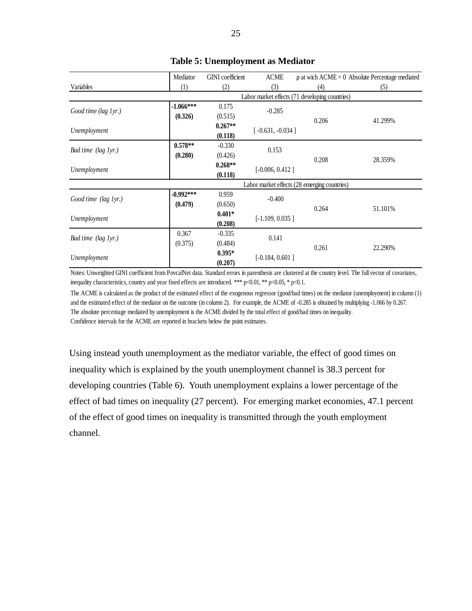|                      | Mediator                                       | <b>GINI</b> coefficient | <b>ACME</b>        | $\rho$ at wich ACME = 0 Absolute Percentage mediated |         |  |  |
|----------------------|------------------------------------------------|-------------------------|--------------------|------------------------------------------------------|---------|--|--|
| Variables            | (1)                                            | (2)                     | (3)                | (4)                                                  | (5)     |  |  |
|                      | Labor market effects (71 developing countries) |                         |                    |                                                      |         |  |  |
| Good time (lag 1yr.) | $-1.066***$                                    | 0.175                   | $-0.285$           |                                                      |         |  |  |
|                      | (0.326)                                        | (0.515)                 |                    | 0.206                                                | 41.299% |  |  |
|                      |                                                | $0.267**$               | $[-0.631, -0.034]$ |                                                      |         |  |  |
| Unemployment         |                                                | (0.118)                 |                    |                                                      |         |  |  |
|                      | $0.578**$                                      | $-0.330$                | 0.153              |                                                      |         |  |  |
| Bad time (lag 1yr.)  | (0.280)                                        | (0.426)                 |                    | 0.208                                                | 28.359% |  |  |
|                      |                                                | $0.268**$               | $[-0.006, 0.412]$  |                                                      |         |  |  |
| Unemployment         |                                                | (0.118)                 |                    |                                                      |         |  |  |
|                      |                                                |                         |                    | Labor market effects (28 emerging countries)         |         |  |  |
| Good time (lag 1yr.) | $-0.992***$                                    | 0.959                   | $-0.400$           |                                                      |         |  |  |
|                      | (0.479)                                        | (0.650)                 |                    | 0.264                                                | 51.101% |  |  |
| Unemployment         |                                                | $0.401*$                | $[-1.109, 0.035]$  |                                                      |         |  |  |
|                      |                                                | (0.208)                 |                    |                                                      |         |  |  |
|                      | 0.367                                          | $-0.335$                | 0.141              |                                                      |         |  |  |
| Bad time (lag 1yr.)  | (0.375)                                        | (0.484)                 |                    | 0.261                                                | 22.290% |  |  |
|                      |                                                | $0.395*$                |                    |                                                      |         |  |  |
| Unemployment         |                                                | (0.207)                 | $[-0.184, 0.601]$  |                                                      |         |  |  |

# **Table 5: Unemployment as Mediator**

Notes: Unweighted GINI coefficient from PovcalNet data. Standard errors in parenthesis are clustered at the country level. The full vector of covariates, inequality characteristics, country and year fixed effects are introduced. \*\*\* p<0.01, \*\* p<0.05, \* p<0.1.

The ACME is calculated as the product of the estimated effect of the exogenous regressor (good/bad times) on the mediator (unemployment) in column (1) and the estimated effect of the mediator on the outcome (in column 2). For example, the ACME of -0.285 is obtained by multiplying -1.066 by 0.267. The absolute percentage mediated by unemployment is the ACME divided by the total effect of good/bad times on inequality. Confidence intervals for the ACME are reported in brackets below the point estimates.

Using instead youth unemployment as the mediator variable, the effect of good times on inequality which is explained by the youth unemployment channel is 38.3 percent for developing countries (Table 6). Youth unemployment explains a lower percentage of the effect of bad times on inequality (27 percent). For emerging market economies, 47.1 percent of the effect of good times on inequality is transmitted through the youth employment channel.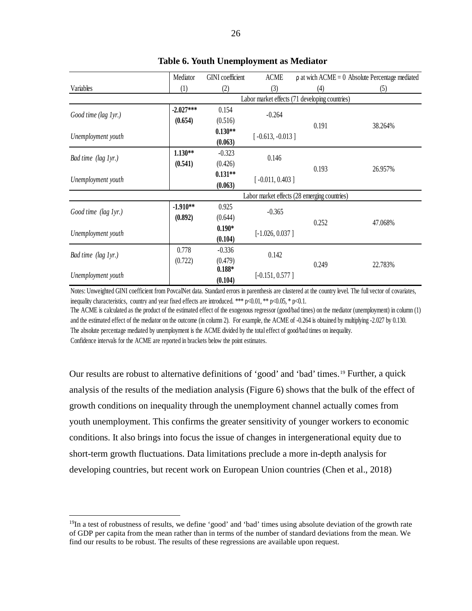|                      | Mediator    | <b>GINI</b> coefficient                        | <b>ACME</b>        |                                              | $\rho$ at wich ACME = 0 Absolute Percentage mediated |  |  |  |
|----------------------|-------------|------------------------------------------------|--------------------|----------------------------------------------|------------------------------------------------------|--|--|--|
| Variables            | (1)         | (2)                                            | (3)                | (4)                                          | (5)                                                  |  |  |  |
|                      |             | Labor market effects (71 developing countries) |                    |                                              |                                                      |  |  |  |
| Good time (lag 1yr.) | $-2.027***$ | 0.154                                          | $-0.264$           |                                              |                                                      |  |  |  |
|                      | (0.654)     | (0.516)                                        |                    | 0.191                                        | 38.264%                                              |  |  |  |
|                      |             | $0.130**$                                      |                    |                                              |                                                      |  |  |  |
| Unemployment youth   |             | (0.063)                                        | $[-0.613, -0.013]$ |                                              |                                                      |  |  |  |
|                      | $1.130**$   | $-0.323$                                       |                    |                                              |                                                      |  |  |  |
| Bad time (lag 1yr.)  | (0.541)     | (0.426)                                        | 0.146              |                                              |                                                      |  |  |  |
|                      |             | $0.131**$                                      |                    | 0.193                                        | 26.957%                                              |  |  |  |
| Unemployment youth   |             | (0.063)                                        | $[-0.011, 0.403]$  |                                              |                                                      |  |  |  |
|                      |             |                                                |                    | Labor market effects (28 emerging countries) |                                                      |  |  |  |
|                      | $-1.910**$  | 0.925                                          | $-0.365$           |                                              |                                                      |  |  |  |
| Good time (lag 1yr.) | (0.892)     | (0.644)                                        |                    | 0.252                                        |                                                      |  |  |  |
|                      |             | $0.190*$                                       |                    |                                              | 47.068%                                              |  |  |  |
| Unemployment youth   |             | (0.104)                                        | $[-1.026, 0.037]$  |                                              |                                                      |  |  |  |
|                      | 0.778       | $-0.336$                                       | 0.142              |                                              |                                                      |  |  |  |
| Bad time (lag 1yr.)  | (0.722)     | (0.479)                                        |                    | 0.249                                        | 22.783%                                              |  |  |  |
|                      |             | $0.188*$                                       | $[-0.151, 0.577]$  |                                              |                                                      |  |  |  |
| Unemployment youth   |             | (0.104)                                        |                    |                                              |                                                      |  |  |  |

# **Table 6. Youth Unemployment as Mediator**

Notes: Unweighted GINI coefficient from PovcalNet data. Standard errors in parenthesis are clustered at the country level. The full vector of covariates, inequality characteristics, country and year fixed effects are introduced. \*\*\*  $p<0.01$ , \*\*  $p<0.05$ , \*  $p<0.1$ .

The ACME is calculated as the product of the estimated effect of the exogenous regressor (good/bad times) on the mediator (unemployment) in column (1) and the estimated effect of the mediator on the outcome (in column 2). For example, the ACME of -0.264 is obtained by multiplying -2.027 by 0.130. The absolute percentage mediated by unemployment is the ACME divided by the total effect of good/bad times on inequality. Confidence intervals for the ACME are reported in brackets below the point estimates.

Our results are robust to alternative definitions of 'good' and 'bad' times.[19](#page-25-0) Further, a quick analysis of the results of the mediation analysis (Figure 6) shows that the bulk of the effect of growth conditions on inequality through the unemployment channel actually comes from youth unemployment. This confirms the greater sensitivity of younger workers to economic conditions. It also brings into focus the issue of changes in intergenerational equity due to short-term growth fluctuations. Data limitations preclude a more in-depth analysis for developing countries, but recent work on European Union countries (Chen et al., 2018)

<span id="page-25-0"></span><sup>&</sup>lt;sup>19</sup>In a test of robustness of results, we define 'good' and 'bad' times using absolute deviation of the growth rate of GDP per capita from the mean rather than in terms of the number of standard deviations from the mean. We find our results to be robust. The results of these regressions are available upon request.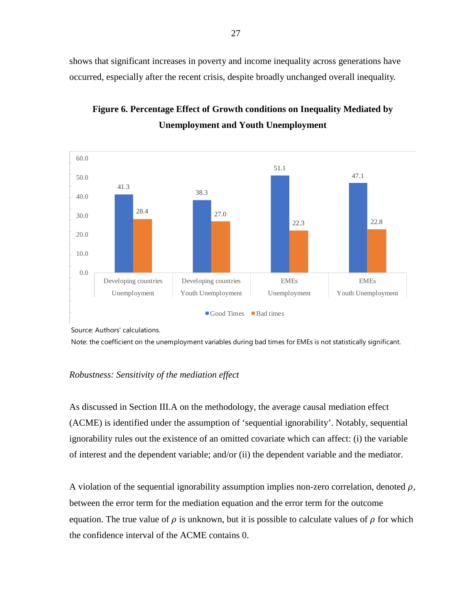shows that significant increases in poverty and income inequality across generations have occurred, especially after the recent crisis, despite broadly unchanged overall inequality.



**Figure 6. Percentage Effect of Growth conditions on Inequality Mediated by Unemployment and Youth Unemployment**

Source: Authors' calculations.

Note: the coefficient on the unemployment variables during bad times for EMEs is not statistically significant.

# *Robustness: Sensitivity of the mediation effect*

As discussed in Section III.A on the methodology, the average causal mediation effect (ACME) is identified under the assumption of 'sequential ignorability'. Notably, sequential ignorability rules out the existence of an omitted covariate which can affect: (i) the variable of interest and the dependent variable; and/or (ii) the dependent variable and the mediator.

A violation of the sequential ignorability assumption implies non-zero correlation, denoted  $\rho$ , between the error term for the mediation equation and the error term for the outcome equation. The true value of  $\rho$  is unknown, but it is possible to calculate values of  $\rho$  for which the confidence interval of the ACME contains 0.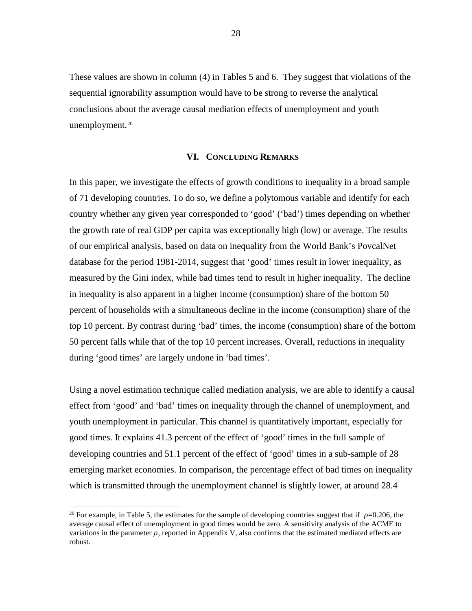These values are shown in column (4) in Tables 5 and 6. They suggest that violations of the sequential ignorability assumption would have to be strong to reverse the analytical conclusions about the average causal mediation effects of unemployment and youth unemployment. $20$ 

# **VI. CONCLUDING REMARKS**

In this paper, we investigate the effects of growth conditions to inequality in a broad sample of 71 developing countries. To do so, we define a polytomous variable and identify for each country whether any given year corresponded to 'good' ('bad') times depending on whether the growth rate of real GDP per capita was exceptionally high (low) or average. The results of our empirical analysis, based on data on inequality from the World Bank's PovcalNet database for the period 1981-2014, suggest that 'good' times result in lower inequality, as measured by the Gini index, while bad times tend to result in higher inequality. The decline in inequality is also apparent in a higher income (consumption) share of the bottom 50 percent of households with a simultaneous decline in the income (consumption) share of the top 10 percent. By contrast during 'bad' times, the income (consumption) share of the bottom 50 percent falls while that of the top 10 percent increases. Overall, reductions in inequality during 'good times' are largely undone in 'bad times'.

Using a novel estimation technique called mediation analysis, we are able to identify a causal effect from 'good' and 'bad' times on inequality through the channel of unemployment, and youth unemployment in particular. This channel is quantitatively important, especially for good times. It explains 41.3 percent of the effect of 'good' times in the full sample of developing countries and 51.1 percent of the effect of 'good' times in a sub-sample of 28 emerging market economies. In comparison, the percentage effect of bad times on inequality which is transmitted through the unemployment channel is slightly lower, at around 28.4

<span id="page-27-0"></span><sup>&</sup>lt;sup>20</sup> For example, in Table 5, the estimates for the sample of developing countries suggest that if  $\rho$ =0.206, the average causal effect of unemployment in good times would be zero. A sensitivity analysis of the ACME to variations in the parameter  $\rho$ , reported in Appendix V, also confirms that the estimated mediated effects are robust.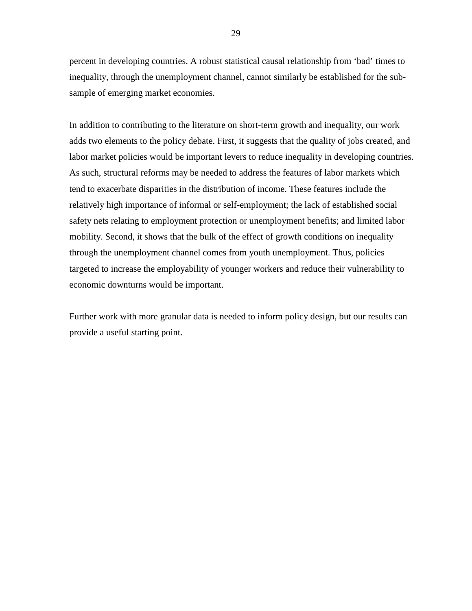percent in developing countries. A robust statistical causal relationship from 'bad' times to inequality, through the unemployment channel, cannot similarly be established for the subsample of emerging market economies.

In addition to contributing to the literature on short-term growth and inequality, our work adds two elements to the policy debate. First, it suggests that the quality of jobs created, and labor market policies would be important levers to reduce inequality in developing countries. As such, structural reforms may be needed to address the features of labor markets which tend to exacerbate disparities in the distribution of income. These features include the relatively high importance of informal or self-employment; the lack of established social safety nets relating to employment protection or unemployment benefits; and limited labor mobility. Second, it shows that the bulk of the effect of growth conditions on inequality through the unemployment channel comes from youth unemployment. Thus, policies targeted to increase the employability of younger workers and reduce their vulnerability to economic downturns would be important.

Further work with more granular data is needed to inform policy design, but our results can provide a useful starting point.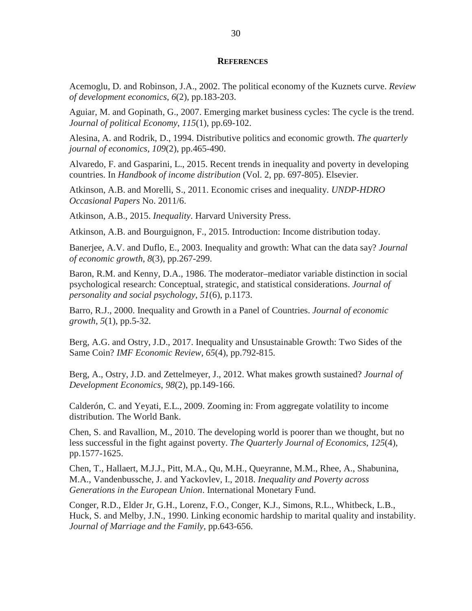#### **REFERENCES**

Acemoglu, D. and Robinson, J.A., 2002. The political economy of the Kuznets curve. *Review of development economics*, *6*(2), pp.183-203.

Aguiar, M. and Gopinath, G., 2007. Emerging market business cycles: The cycle is the trend. *Journal of political Economy*, *115*(1), pp.69-102.

Alesina, A. and Rodrik, D., 1994. Distributive politics and economic growth. *The quarterly journal of economics*, *109*(2), pp.465-490.

Alvaredo, F. and Gasparini, L., 2015. Recent trends in inequality and poverty in developing countries. In *Handbook of income distribution* (Vol. 2, pp. 697-805). Elsevier.

Atkinson, A.B. and Morelli, S., 2011. Economic crises and inequality. *UNDP-HDRO Occasional Papers* No. 2011/6.

Atkinson, A.B., 2015. *Inequality*. Harvard University Press.

Atkinson, A.B. and Bourguignon, F., 2015. Introduction: Income distribution today.

Banerjee, A.V. and Duflo, E., 2003. Inequality and growth: What can the data say? *Journal of economic growth*, *8*(3), pp.267-299.

Baron, R.M. and Kenny, D.A., 1986. The moderator–mediator variable distinction in social psychological research: Conceptual, strategic, and statistical considerations. *Journal of personality and social psychology*, *51*(6), p.1173.

Barro, R.J., 2000. Inequality and Growth in a Panel of Countries. *Journal of economic growth*, *5*(1), pp.5-32.

Berg, A.G. and Ostry, J.D., 2017. Inequality and Unsustainable Growth: Two Sides of the Same Coin? *IMF Economic Review*, *65*(4), pp.792-815.

Berg, A., Ostry, J.D. and Zettelmeyer, J., 2012. What makes growth sustained? *Journal of Development Economics*, *98*(2), pp.149-166.

Calderón, C. and Yeyati, E.L., 2009. Zooming in: From aggregate volatility to income distribution. The World Bank.

Chen, S. and Ravallion, M., 2010. The developing world is poorer than we thought, but no less successful in the fight against poverty. *The Quarterly Journal of Economics*, *125*(4), pp.1577-1625.

Chen, T., Hallaert, M.J.J., Pitt, M.A., Qu, M.H., Queyranne, M.M., Rhee, A., Shabunina, M.A., Vandenbussche, J. and Yackovlev, I., 2018. *Inequality and Poverty across Generations in the European Union*. International Monetary Fund.

Conger, R.D., Elder Jr, G.H., Lorenz, F.O., Conger, K.J., Simons, R.L., Whitbeck, L.B., Huck, S. and Melby, J.N., 1990. Linking economic hardship to marital quality and instability. *Journal of Marriage and the Family*, pp.643-656.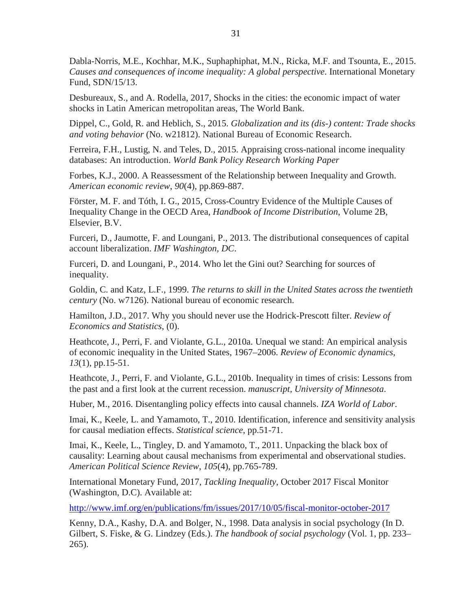Dabla-Norris, M.E., Kochhar, M.K., Suphaphiphat, M.N., Ricka, M.F. and Tsounta, E., 2015. *Causes and consequences of income inequality: A global perspective*. International Monetary Fund, SDN/15/13.

Desbureaux, S., and A. Rodella, 2017, Shocks in the cities: the economic impact of water shocks in Latin American metropolitan areas, The World Bank.

Dippel, C., Gold, R. and Heblich, S., 2015. *Globalization and its (dis-) content: Trade shocks and voting behavior* (No. w21812). National Bureau of Economic Research.

Ferreira, F.H., Lustig, N. and Teles, D., 2015. Appraising cross-national income inequality databases: An introduction. *World Bank Policy Research Working Paper*

Forbes, K.J., 2000. A Reassessment of the Relationship between Inequality and Growth. *American economic review*, *90*(4), pp.869-887.

Förster, M. F. and Tóth, I. G., 2015, Cross-Country Evidence of the Multiple Causes of Inequality Change in the OECD Area, *Handbook of Income Distribution*, Volume 2B, Elsevier, B.V.

Furceri, D., Jaumotte, F. and Loungani, P., 2013. The distributional consequences of capital account liberalization. *IMF Washington, DC*.

Furceri, D. and Loungani, P., 2014. Who let the Gini out? Searching for sources of inequality.

Goldin, C. and Katz, L.F., 1999. *The returns to skill in the United States across the twentieth century* (No. w7126). National bureau of economic research.

Hamilton, J.D., 2017. Why you should never use the Hodrick-Prescott filter. *Review of Economics and Statistics*, (0).

Heathcote, J., Perri, F. and Violante, G.L., 2010a. Unequal we stand: An empirical analysis of economic inequality in the United States, 1967–2006. *Review of Economic dynamics*, *13*(1), pp.15-51.

Heathcote, J., Perri, F. and Violante, G.L., 2010b. Inequality in times of crisis: Lessons from the past and a first look at the current recession. *manuscript, University of Minnesota*.

Huber, M., 2016. Disentangling policy effects into causal channels. *IZA World of Labor*.

Imai, K., Keele, L. and Yamamoto, T., 2010. Identification, inference and sensitivity analysis for causal mediation effects. *Statistical science*, pp.51-71.

Imai, K., Keele, L., Tingley, D. and Yamamoto, T., 2011. Unpacking the black box of causality: Learning about causal mechanisms from experimental and observational studies. *American Political Science Review*, *105*(4), pp.765-789.

International Monetary Fund, 2017, *Tackling Inequality*, October 2017 Fiscal Monitor (Washington, D.C). Available at:

<http://www.imf.org/en/publications/fm/issues/2017/10/05/fiscal-monitor-october-2017>

Kenny, D.A., Kashy, D.A. and Bolger, N., 1998. Data analysis in social psychology (In D. Gilbert, S. Fiske, & G. Lindzey (Eds.). *The handbook of social psychology* (Vol. 1, pp. 233– 265).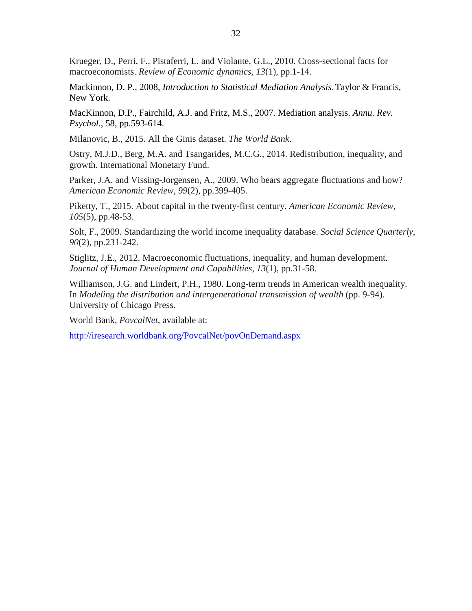Krueger, D., Perri, F., Pistaferri, L. and Violante, G.L., 2010. Cross-sectional facts for macroeconomists. *Review of Economic dynamics*, *13*(1), pp.1-14.

Mackinnon, D. P., 2008, *Introduction to Statistical Mediation Analysis*. Taylor & Francis, New York.

MacKinnon, D.P., Fairchild, A.J. and Fritz, M.S., 2007. Mediation analysis. *Annu. Rev. Psychol.*, 58, pp.593-614.

Milanovic, B., 2015. All the Ginis dataset. *The World Bank*.

Ostry, M.J.D., Berg, M.A. and Tsangarides, M.C.G., 2014. Redistribution, inequality, and growth. International Monetary Fund.

Parker, J.A. and Vissing-Jorgensen, A., 2009. Who bears aggregate fluctuations and how? *American Economic Review*, *99*(2), pp.399-405.

Piketty, T., 2015. About capital in the twenty-first century. *American Economic Review*, *105*(5), pp.48-53.

Solt, F., 2009. Standardizing the world income inequality database. *Social Science Quarterly*, *90*(2), pp.231-242.

Stiglitz, J.E., 2012. Macroeconomic fluctuations, inequality, and human development. *Journal of Human Development and Capabilities*, *13*(1), pp.31-58.

Williamson, J.G. and Lindert, P.H., 1980. Long-term trends in American wealth inequality. In *Modeling the distribution and intergenerational transmission of wealth* (pp. 9-94). University of Chicago Press.

World Bank, *PovcalNet*, available at:

<http://iresearch.worldbank.org/PovcalNet/povOnDemand.aspx>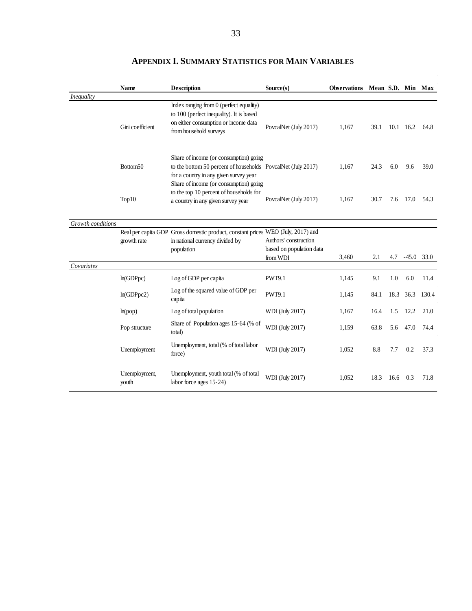|                   | <b>Name</b>            | <b>Description</b>                                                                                                                                                                         | Source(s)                                                     | <b>Observations</b> | Mean S.D. Min Max |      |           |       |
|-------------------|------------------------|--------------------------------------------------------------------------------------------------------------------------------------------------------------------------------------------|---------------------------------------------------------------|---------------------|-------------------|------|-----------|-------|
| Inequality        |                        |                                                                                                                                                                                            |                                                               |                     |                   |      |           |       |
|                   | Gini coefficient       | Index ranging from 0 (perfect equality)<br>to 100 (perfect inequality). It is based<br>on either consumption or income data<br>from household surveys                                      | PovcalNet (July 2017)                                         | 1,167               | 39.1              |      | 10.1 16.2 | 64.8  |
|                   | Bottom <sub>50</sub>   | Share of income (or consumption) going<br>to the bottom 50 percent of households PovcalNet (July 2017)<br>for a country in any given survey year<br>Share of income (or consumption) going |                                                               | 1,167               | 24.3              | 6.0  | 9.6       | 39.0  |
|                   | Top10                  | to the top 10 percent of households for<br>a country in any given survey year                                                                                                              | PovcalNet (July 2017)                                         | 1,167               | 30.7              | 7.6  | 17.0      | 54.3  |
| Growth conditions |                        |                                                                                                                                                                                            |                                                               |                     |                   |      |           |       |
|                   | growth rate            | Real per capita GDP Gross domestic product, constant prices WEO (July, 2017) and<br>in national currency divided by<br>population                                                          | Authors' construction<br>based on population data<br>from WDI | 3,460               | 2.1               | 4.7  | $-45.0$   | 33.0  |
| Covariates        |                        |                                                                                                                                                                                            |                                                               |                     |                   |      |           |       |
|                   | ln(GDPpc)              | Log of GDP per capita                                                                                                                                                                      | <b>PWT9.1</b>                                                 | 1,145               | 9.1               | 1.0  | 6.0       | 11.4  |
|                   | ln(GDPpc2)             | Log of the squared value of GDP per<br>capita                                                                                                                                              | <b>PWT9.1</b>                                                 | 1,145               | 84.1              | 18.3 | 36.3      | 130.4 |
|                   | ln(pop)                | Log of total population                                                                                                                                                                    | WDI (July 2017)                                               | 1,167               | 16.4              | 1.5  | 12.2      | 21.0  |
|                   | Pop structure          | Share of Population ages 15-64 (% of<br>total)                                                                                                                                             | WDI (July 2017)                                               | 1,159               | 63.8              | 5.6  | 47.0      | 74.4  |
|                   | Unemployment           | Unemployment, total (% of total labor<br>force)                                                                                                                                            | WDI (July 2017)                                               | 1,052               | 8.8               | 7.7  | 0.2       | 37.3  |
|                   | Unemployment,<br>youth | Unemployment, youth total (% of total<br>labor force ages 15-24)                                                                                                                           | WDI (July 2017)                                               | 1,052               | 18.3              | 16.6 | 0.3       | 71.8  |

# **APPENDIX I. SUMMARY STATISTICS FOR MAIN VARIABLES**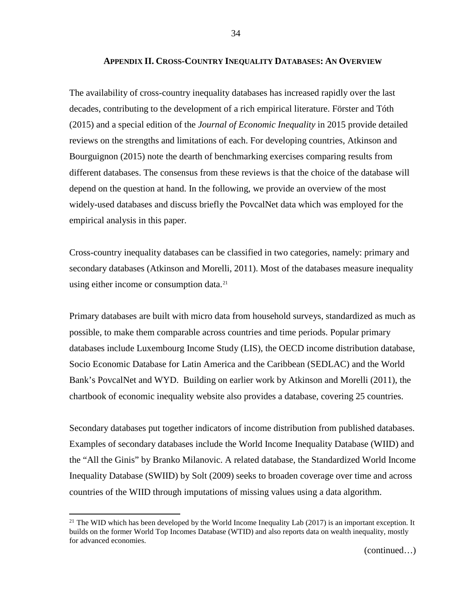# **APPENDIX II. CROSS-COUNTRY INEQUALITY DATABASES: AN OVERVIEW**

The availability of cross-country inequality databases has increased rapidly over the last decades, contributing to the development of a rich empirical literature. Förster and Tóth (2015) and a special edition of the *Journal of Economic Inequality* in 2015 provide detailed reviews on the strengths and limitations of each. For developing countries, Atkinson and Bourguignon (2015) note the dearth of benchmarking exercises comparing results from different databases. The consensus from these reviews is that the choice of the database will depend on the question at hand. In the following, we provide an overview of the most widely-used databases and discuss briefly the PovcalNet data which was employed for the empirical analysis in this paper.

Cross-country inequality databases can be classified in two categories, namely: primary and secondary databases (Atkinson and Morelli, 2011). Most of the databases measure inequality using either income or consumption data.<sup>[21](#page-33-0)</sup>

Primary databases are built with micro data from household surveys, standardized as much as possible, to make them comparable across countries and time periods. Popular primary databases include Luxembourg Income Study (LIS), the OECD income distribution database, Socio Economic Database for Latin America and the Caribbean (SEDLAC) and the World Bank's PovcalNet and WYD. Building on earlier work by Atkinson and Morelli (2011), the chartbook of economic inequality website also provides a database, covering 25 countries.

Secondary databases put together indicators of income distribution from published databases. Examples of secondary databases include the World Income Inequality Database (WIID) and the "All the Ginis" by Branko Milanovic. A related database, the Standardized World Income Inequality Database (SWIID) by Solt (2009) seeks to broaden coverage over time and across countries of the WIID through imputations of missing values using a data algorithm.

<span id="page-33-0"></span><sup>&</sup>lt;sup>21</sup> The WID which has been developed by the World Income Inequality Lab (2017) is an important exception. It builds on the former World Top Incomes Database (WTID) and also reports data on wealth inequality, mostly for advanced economies.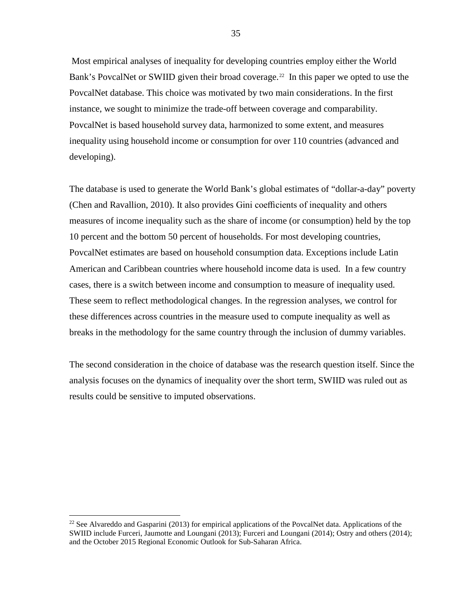Most empirical analyses of inequality for developing countries employ either the World Bank's PovcalNet or SWIID given their broad coverage.<sup>[22](#page-34-0)</sup> In this paper we opted to use the PovcalNet database. This choice was motivated by two main considerations. In the first instance, we sought to minimize the trade-off between coverage and comparability. PovcalNet is based household survey data, harmonized to some extent, and measures inequality using household income or consumption for over 110 countries (advanced and developing).

The database is used to generate the World Bank's global estimates of "dollar-a-day" poverty (Chen and Ravallion, 2010). It also provides Gini coefficients of inequality and others measures of income inequality such as the share of income (or consumption) held by the top 10 percent and the bottom 50 percent of households. For most developing countries, PovcalNet estimates are based on household consumption data. Exceptions include Latin American and Caribbean countries where household income data is used. In a few country cases, there is a switch between income and consumption to measure of inequality used. These seem to reflect methodological changes. In the regression analyses, we control for these differences across countries in the measure used to compute inequality as well as breaks in the methodology for the same country through the inclusion of dummy variables.

The second consideration in the choice of database was the research question itself. Since the analysis focuses on the dynamics of inequality over the short term, SWIID was ruled out as results could be sensitive to imputed observations.

<span id="page-34-0"></span><sup>&</sup>lt;sup>22</sup> See Alvareddo and Gasparini (2013) for empirical applications of the PovcalNet data. Applications of the SWIID include Furceri, Jaumotte and Loungani (2013); Furceri and Loungani (2014); Ostry and others (2014); and the October 2015 Regional Economic Outlook for Sub-Saharan Africa.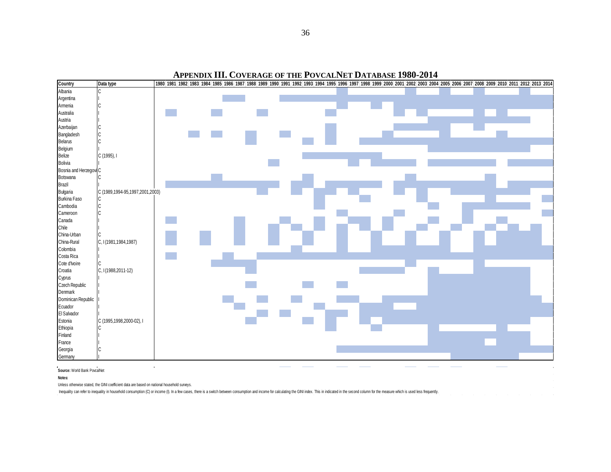# **APPENDIX III. COVERAGE OF THE POVCALNET DATABASE 1980-2014**



**Source:** World Bank PovcalNet

#### **Notes:**

Unless otherwise stated, the GINI coefficient data are based on national household surveys.

Inequality can refer to inequality in household consumption (C) or income (I). In a few cases, there is a switch between consumption and income for calculating the GINI index. This in indicated in the second column for the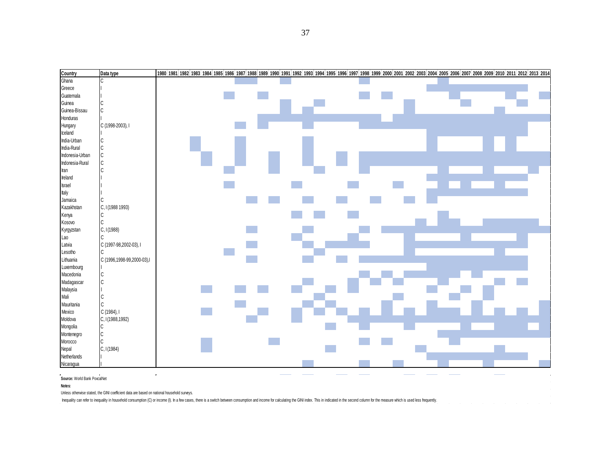| Country                      | Data type                  | 1980 1981 1982 1983 1984 1985 1986 1987 1988 1989 1990 1991 1992 1993 1994 1995 1996 1997 1998 1999 2000 2001 2002 2003 2004 2005 2006 2007 2008 2009 2011 2012 2013 2014 |
|------------------------------|----------------------------|---------------------------------------------------------------------------------------------------------------------------------------------------------------------------|
| Ghana                        | C.                         |                                                                                                                                                                           |
| Greece                       |                            |                                                                                                                                                                           |
| Guatemala                    |                            |                                                                                                                                                                           |
| Guinea                       | C                          |                                                                                                                                                                           |
| Guinea-Bissau                | C                          |                                                                                                                                                                           |
| Honduras                     |                            |                                                                                                                                                                           |
| Hungary                      | C (1998-2003), I           |                                                                                                                                                                           |
| Iceland                      |                            |                                                                                                                                                                           |
| India-Urban                  | C                          |                                                                                                                                                                           |
| India-Rural                  | Iс                         |                                                                                                                                                                           |
| Indonesia-Urban              | C                          |                                                                                                                                                                           |
| Indonesia-Rural              | Iс                         |                                                                                                                                                                           |
| Iran                         |                            |                                                                                                                                                                           |
| Ireland                      |                            |                                                                                                                                                                           |
| Israel                       |                            |                                                                                                                                                                           |
| Italy                        |                            |                                                                                                                                                                           |
| Jamaica                      |                            |                                                                                                                                                                           |
| Kazakhstan                   | C, I (1988 1993)           |                                                                                                                                                                           |
| Kenya                        | lc.                        |                                                                                                                                                                           |
| Kosovo                       | C                          |                                                                                                                                                                           |
| Kyrgyzstan                   | C, I(1988)                 |                                                                                                                                                                           |
| Lao                          |                            |                                                                                                                                                                           |
| Latvia                       | C (1997-98,2002-03), I     |                                                                                                                                                                           |
| Lesotho                      | lc.                        |                                                                                                                                                                           |
| Lithuania                    | C (1996,1998-99,2000-03),I |                                                                                                                                                                           |
| Luxembourg                   |                            |                                                                                                                                                                           |
| Macedonia                    | $\mathsf C$                |                                                                                                                                                                           |
| Madagascar                   | c)                         |                                                                                                                                                                           |
| Malaysia                     |                            |                                                                                                                                                                           |
| Mali                         | lc.                        |                                                                                                                                                                           |
| Mauritania                   | lc.                        |                                                                                                                                                                           |
| Mexico                       | C(1984), I                 |                                                                                                                                                                           |
| Moldova                      | C, I (1988, 1992)          |                                                                                                                                                                           |
| Mongolia                     | Iс                         |                                                                                                                                                                           |
| Montenegro                   | C                          |                                                                                                                                                                           |
| Morocco                      | lc                         |                                                                                                                                                                           |
| Nepal                        | C, I(1984)                 |                                                                                                                                                                           |
| Netherlands                  |                            |                                                                                                                                                                           |
| Nicaragua                    |                            |                                                                                                                                                                           |
| Source: World Bank PovcalNet |                            |                                                                                                                                                                           |
|                              |                            |                                                                                                                                                                           |
| Notes:                       |                            |                                                                                                                                                                           |

 $\hat{A}$  is a simple polarization of the simple space of  $\hat{A}$  , and  $\hat{A}$ 

Unless otherwise stated, the GINI coefficient data are based on national household surveys.

Inequality can refer to inequality in household consumption (C) or income (I). In a few cases, there is a switch between consumption and income for calculating the GINI index. This in indicated in the second column for the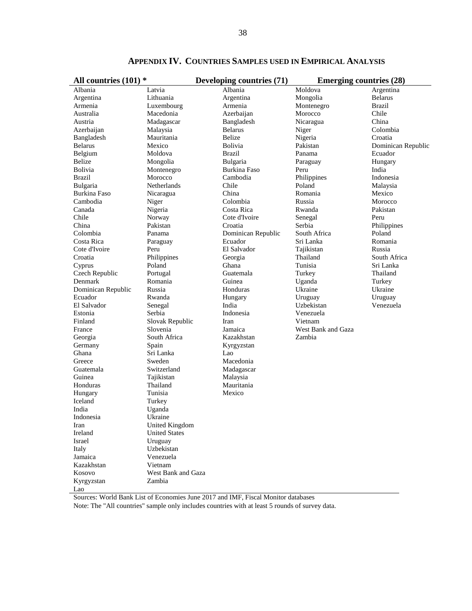| All countries $(101)$ * |                      | Developing countries (71) | <b>Emerging countries (28)</b> |                    |  |  |
|-------------------------|----------------------|---------------------------|--------------------------------|--------------------|--|--|
| Albania                 | Latvia               | Albania                   | Moldova                        | Argentina          |  |  |
| Argentina               | Lithuania            | Argentina                 | Mongolia                       | <b>Belarus</b>     |  |  |
| Armenia                 | Luxembourg           | Armenia                   | Montenegro                     | <b>Brazil</b>      |  |  |
| Australia               | Macedonia            | Azerbaijan                | Morocco                        | Chile              |  |  |
| Austria                 | Madagascar           | Bangladesh                | Nicaragua                      | China              |  |  |
| Azerbaijan              | Malaysia             | <b>Belarus</b>            | Niger                          | Colombia           |  |  |
| Bangladesh              | Mauritania           | Belize                    | Nigeria                        | Croatia            |  |  |
| <b>Belarus</b>          | Mexico               | Bolivia                   | Pakistan                       | Dominican Republic |  |  |
| Belgium                 | Moldova              | <b>Brazil</b>             | Panama                         | Ecuador            |  |  |
| <b>Belize</b>           | Mongolia             | Bulgaria                  | Paraguay                       | Hungary            |  |  |
| Bolivia                 | Montenegro           | Burkina Faso              | Peru                           | India              |  |  |
| <b>Brazil</b>           | Morocco              | Cambodia                  | Philippines                    | Indonesia          |  |  |
| Bulgaria                | Netherlands          | Chile                     | Poland                         | Malaysia           |  |  |
| Burkina Faso            | Nicaragua            | China                     | Romania                        | Mexico             |  |  |
| Cambodia                | Niger                | Colombia                  | Russia                         | Morocco            |  |  |
| Canada                  | Nigeria              | Costa Rica                | Rwanda                         | Pakistan           |  |  |
| Chile                   | Norway               | Cote d'Ivoire             | Senegal                        | Peru               |  |  |
| China                   | Pakistan             | Croatia                   | Serbia                         | Philippines        |  |  |
| Colombia                | Panama               | Dominican Republic        | South Africa                   | Poland             |  |  |
| Costa Rica              | Paraguay             | Ecuador                   | Sri Lanka                      | Romania            |  |  |
| Cote d'Ivoire           | Peru                 | El Salvador               | Tajikistan                     | Russia             |  |  |
| Croatia                 | Philippines          | Georgia                   | Thailand                       | South Africa       |  |  |
| Cyprus                  | Poland               | Ghana                     | Tunisia                        | Sri Lanka          |  |  |
| Czech Republic          | Portugal             | Guatemala                 | Turkey                         | Thailand           |  |  |
| Denmark                 | Romania              | Guinea                    | Uganda                         | Turkey             |  |  |
| Dominican Republic      | Russia               | Honduras                  | Ukraine                        | Ukraine            |  |  |
| Ecuador                 | Rwanda               | Hungary                   | Uruguay                        | Uruguay            |  |  |
| El Salvador             | Senegal              | India                     | Uzbekistan                     | Venezuela          |  |  |
| Estonia                 | Serbia               | Indonesia                 | Venezuela                      |                    |  |  |
| Finland                 | Slovak Republic      | Iran                      | Vietnam                        |                    |  |  |
| France                  | Slovenia             | Jamaica                   | West Bank and Gaza             |                    |  |  |
| Georgia                 | South Africa         | Kazakhstan                | Zambia                         |                    |  |  |
| Germany                 | Spain                | Kyrgyzstan                |                                |                    |  |  |
| Ghana                   | Sri Lanka            | Lao                       |                                |                    |  |  |
| Greece                  | Sweden               | Macedonia                 |                                |                    |  |  |
| Guatemala               | Switzerland          | Madagascar                |                                |                    |  |  |
| Guinea                  | Tajikistan           | Malaysia                  |                                |                    |  |  |
| Honduras                | Thailand             | Mauritania                |                                |                    |  |  |
| Hungary                 | Tunisia              | Mexico                    |                                |                    |  |  |
| Iceland                 | Turkey               |                           |                                |                    |  |  |
| India                   | Uganda               |                           |                                |                    |  |  |
| Indonesia               | Ukraine              |                           |                                |                    |  |  |
| Iran                    | United Kingdom       |                           |                                |                    |  |  |
| Ireland                 | <b>United States</b> |                           |                                |                    |  |  |
| Israel                  | Uruguay              |                           |                                |                    |  |  |
| Italy                   | Uzbekistan           |                           |                                |                    |  |  |
| Jamaica                 | Venezuela            |                           |                                |                    |  |  |
| Kazakhstan              | Vietnam              |                           |                                |                    |  |  |
| Kosovo                  | West Bank and Gaza   |                           |                                |                    |  |  |
| Kyrgyzstan              | Zambia               |                           |                                |                    |  |  |
| Lao                     |                      |                           |                                |                    |  |  |

**APPENDIX IV. COUNTRIES SAMPLES USED IN EMPIRICAL ANALYSIS**

Sources: World Bank List of Economies June 2017 and IMF, Fiscal Monitor databases

Note: The "All countries" sample only includes countries with at least 5 rounds of survey data.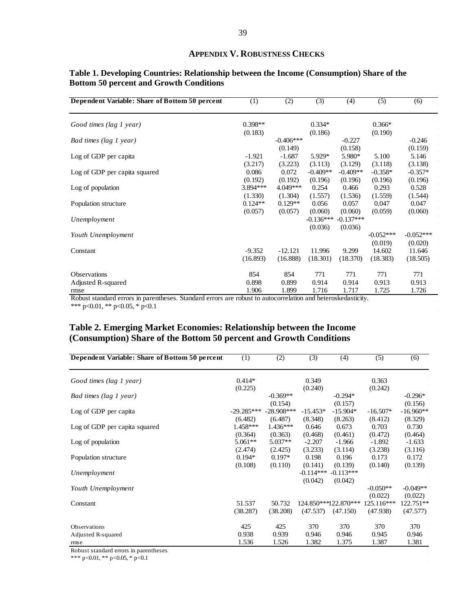#### **APPENDIX V. ROBUSTNESS CHECKS**

| Dependent Variable: Share of Bottom 50 percent | (1)       | (2)         | (3)         | (4)         | (5)         | (6)         |
|------------------------------------------------|-----------|-------------|-------------|-------------|-------------|-------------|
| Good times (lag 1 year)                        | $0.398**$ |             | $0.334*$    |             | $0.366*$    |             |
|                                                | (0.183)   |             | (0.186)     |             | (0.190)     |             |
| Bad times (lag 1 year)                         |           | $-0.406***$ |             | $-0.227$    |             | $-0.246$    |
|                                                |           | (0.149)     |             | (0.158)     |             | (0.159)     |
| Log of GDP per capita                          | $-1.921$  | $-1.687$    | 5.929*      | 5.980*      | 5.100       | 5.146       |
|                                                | (3.217)   | (3.223)     | (3.113)     | (3.129)     | (3.118)     | (3.138)     |
| Log of GDP per capita squared                  | 0.086     | 0.072       | $-0.409**$  | $-0.409**$  | $-0.358*$   | $-0.357*$   |
|                                                | (0.192)   | (0.192)     | (0.196)     | (0.196)     | (0.196)     | (0.196)     |
| Log of population                              | 3.894 *** | 4.049***    | 0.254       | 0.466       | 0.293       | 0.528       |
|                                                | (1.330)   | (1.304)     | (1.557)     | (1.536)     | (1.559)     | (1.544)     |
| Population structure                           | $0.124**$ | $0.129**$   | 0.056       | 0.057       | 0.047       | 0.047       |
|                                                | (0.057)   | (0.057)     | (0.060)     | (0.060)     | (0.059)     | (0.060)     |
| Unemployment                                   |           |             | $-0.136***$ | $-0.137***$ |             |             |
|                                                |           |             | (0.036)     | (0.036)     |             |             |
| Youth Unemployment                             |           |             |             |             | $-0.052***$ | $-0.052***$ |
|                                                |           |             |             |             | (0.019)     | (0.020)     |
| Constant                                       | $-9.352$  | $-12.121$   | 11.996      | 9.299       | 14.602      | 11.646      |
|                                                | (16.893)  | (16.888)    | (18.301)    | (18.370)    | (18.383)    | (18.505)    |
|                                                |           |             |             |             |             |             |
| <b>Observations</b>                            | 854       | 854         | 771         | 771         | 771         | 771         |
| Adjusted R-squared                             | 0.898     | 0.899       | 0.914       | 0.914       | 0.913       | 0.913       |
| rmse                                           | 1.906     | 1.899       | 1.716       | 1.717       | 1.725       | 1.726       |
|                                                |           |             |             |             |             |             |

# **Table 1. Developing Countries: Relationship between the Income (Consumption) Share of the Bottom 50 percent and Growth Conditions**

Robust standard errors in parentheses. Standard errors are robust to autocorrelation and heteroskedasticity. \*\*\* p<0.01, \*\* p<0.05, \* p<0.1

# **Table 2. Emerging Market Economies: Relationship between the Income (Consumption) Share of the Bottom 50 percent and Growth Conditions**

| Dependent Variable: Share of Bottom 50 percent | (1)                     | (2)                     | (3)                    | (4)                              | (5)                    | (6)                               |
|------------------------------------------------|-------------------------|-------------------------|------------------------|----------------------------------|------------------------|-----------------------------------|
| Good times (lag 1 year)                        | $0.414*$                |                         | 0.349                  |                                  | 0.363                  |                                   |
| Bad times (lag 1 year)                         | (0.225)                 | $-0.369**$<br>(0.154)   | (0.240)                | $-0.294*$<br>(0.157)             | (0.242)                | $-0.296*$                         |
| Log of GDP per capita                          | $-29.285***$<br>(6.482) | $-28.908***$<br>(6.487) | $-15.453*$<br>(8.348)  | $-15.904*$<br>(8.263)            | $-16.507*$<br>(8.412)  | (0.156)<br>$-16.960**$<br>(8.329) |
| Log of GDP per capita squared                  | $1.458***$<br>(0.364)   | $1.436***$<br>(0.363)   | 0.646<br>(0.468)       | 0.673<br>(0.461)                 | 0.703<br>(0.472)       | 0.730<br>(0.464)                  |
| Log of population                              | $5.061**$<br>(2.474)    | $5.037**$<br>(2.425)    | $-2.207$<br>(3.233)    | $-1.966$<br>(3.114)              | $-1.892$<br>(3.238)    | $-1.633$<br>(3.116)               |
| Population structure                           | $0.194*$<br>(0.108)     | $0.197*$<br>(0.110)     | 0.198<br>(0.141)       | 0.196<br>(0.139)                 | 0.173<br>(0.140)       | 0.172<br>(0.139)                  |
| Unemployment                                   |                         |                         | $-0.114***$<br>(0.042) | $-0.113***$<br>(0.042)           |                        |                                   |
| Youth Unemployment                             |                         |                         |                        |                                  | $-0.050**$<br>(0.022)  | $-0.049**$<br>(0.022)             |
| Constant                                       | 51.537<br>(38.287)      | 50.732<br>(38.208)      | (47.537)               | 124.850***122.870***<br>(47.150) | 125.116***<br>(47.938) | 122.751**<br>(47.577)             |
| Observations                                   | 425                     | 425                     | 370                    | 370                              | 370                    | 370                               |
| Adjusted R-squared<br>rmse                     | 0.938<br>1.536          | 0.939<br>1.526          | 0.946<br>1.382         | 0.946<br>1.375                   | 0.945<br>1.387         | 0.946<br>1.381                    |

Robust standard errors in parentheses

\*\*\* p<0.01, \*\* p<0.05, \* p<0.1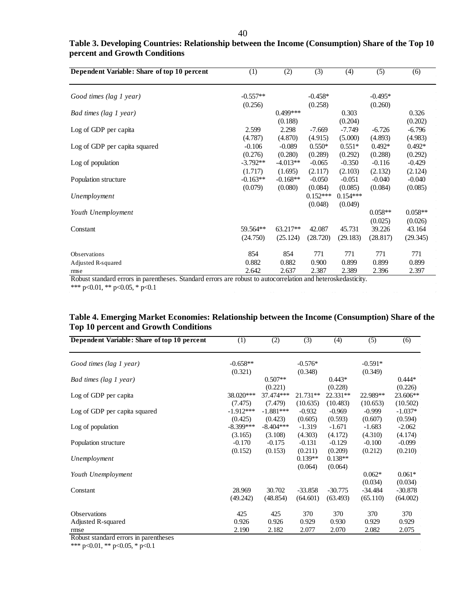| Dependent Variable: Share of top 10 percent | (1)        | (2)        | (3)        | (4)        | (5)       | (6)       |
|---------------------------------------------|------------|------------|------------|------------|-----------|-----------|
| Good times (lag 1 year)                     | $-0.557**$ |            | $-0.458*$  |            | $-0.495*$ |           |
|                                             | (0.256)    |            | (0.258)    |            | (0.260)   |           |
| Bad times (lag 1 year)                      |            | $0.499***$ |            | 0.303      |           | 0.326     |
|                                             |            | (0.188)    |            | (0.204)    |           | (0.202)   |
| Log of GDP per capita                       | 2.599      | 2.298      | $-7.669$   | $-7.749$   | $-6.726$  | $-6.796$  |
|                                             | (4.787)    | (4.870)    | (4.915)    | (5.000)    | (4.893)   | (4.983)   |
| Log of GDP per capita squared               | $-0.106$   | $-0.089$   | $0.550*$   | $0.551*$   | $0.492*$  | $0.492*$  |
|                                             | (0.276)    | (0.280)    | (0.289)    | (0.292)    | (0.288)   | (0.292)   |
| Log of population                           | $-3.792**$ | $-4.013**$ | $-0.065$   | $-0.350$   | $-0.116$  | $-0.429$  |
|                                             | (1.717)    | (1.695)    | (2.117)    | (2.103)    | (2.132)   | (2.124)   |
| Population structure                        | $-0.163**$ | $-0.168**$ | $-0.050$   | $-0.051$   | $-0.040$  | $-0.040$  |
|                                             | (0.079)    | (0.080)    | (0.084)    | (0.085)    | (0.084)   | (0.085)   |
| Unemployment                                |            |            | $0.152***$ | $0.154***$ |           |           |
|                                             |            |            | (0.048)    | (0.049)    |           |           |
| Youth Unemployment                          |            |            |            |            | $0.058**$ | $0.058**$ |
|                                             |            |            |            |            | (0.025)   | (0.026)   |
| Constant                                    | 59.564**   | $63.217**$ | 42.087     | 45.731     | 39.226    | 43.164    |
|                                             | (24.750)   | (25.124)   | (28.720)   | (29.183)   | (28.817)  | (29.345)  |
|                                             |            |            |            |            |           |           |
| Observations                                | 854        | 854        | 771        | 771        | 771       | 771       |
| Adjusted R-squared                          | 0.882      | 0.882      | 0.900      | 0.899      | 0.899     | 0.899     |
| rmse                                        | 2.642      | 2.637      | 2.387      | 2.389      | 2.396     | 2.397     |

# **Table 3. Developing Countries: Relationship between the Income (Consumption) Share of the Top 10 percent and Growth Conditions**

Robust standard errors in parentheses. Standard errors are robust to autocorrelation and heteroskedasticity.

\*\*\* p<0.01, \*\* p<0.05, \* p<0.1

# **Table 4. Emerging Market Economies: Relationship between the Income (Consumption) Share of the Top 10 percent and Growth Conditions**

| Dependent Variable: Share of top 10 percent | (1)         | (2)         | $\overline{(3)}$ | (4)       | $\overline{(5)}$ | (6)       |
|---------------------------------------------|-------------|-------------|------------------|-----------|------------------|-----------|
| Good times (lag 1 year)                     | $-0.658**$  |             | $-0.576*$        |           | $-0.591*$        |           |
|                                             | (0.321)     |             | (0.348)          |           | (0.349)          |           |
| Bad times (lag 1 year)                      |             | $0.507**$   |                  | $0.443*$  |                  | $0.444*$  |
|                                             |             | (0.221)     |                  | (0.228)   |                  | (0.226)   |
| Log of GDP per capita                       | 38.020***   | 37.474***   | $21.731**$       | 22.331**  | 22.989**         | 23.606**  |
|                                             | (7.475)     | (7.479)     | (10.635)         | (10.483)  | (10.653)         | (10.502)  |
| Log of GDP per capita squared               | $-1.912***$ | $-1.881***$ | $-0.932$         | $-0.969$  | $-0.999$         | $-1.037*$ |
|                                             | (0.425)     | (0.423)     | (0.605)          | (0.593)   | (0.607)          | (0.594)   |
| Log of population                           | $-8.399***$ | $-8.404***$ | $-1.319$         | $-1.671$  | $-1.683$         | $-2.062$  |
|                                             | (3.165)     | (3.108)     | (4.303)          | (4.172)   | (4.310)          | (4.174)   |
| Population structure                        | $-0.170$    | $-0.175$    | $-0.131$         | $-0.129$  | $-0.100$         | $-0.099$  |
|                                             | (0.152)     | (0.153)     | (0.211)          | (0.209)   | (0.212)          | (0.210)   |
| Unemployment                                |             |             | $0.139**$        | $0.138**$ |                  |           |
|                                             |             |             | (0.064)          | (0.064)   |                  |           |
| Youth Unemployment                          |             |             |                  |           | $0.062*$         | $0.061*$  |
|                                             |             |             |                  |           | (0.034)          | (0.034)   |
| Constant                                    | 28.969      | 30.702      | $-33.858$        | $-30.775$ | $-34.484$        | $-30.878$ |
|                                             | (49.242)    | (48.854)    | (64.601)         | (63.493)  | (65.110)         | (64.002)  |
| <b>Observations</b>                         | 425         | 425         | 370              | 370       | 370              | 370       |
| Adjusted R-squared                          | 0.926       | 0.926       | 0.929            | 0.930     | 0.929            | 0.929     |
| rmse                                        | 2.190       | 2.182       | 2.077            | 2.070     | 2.082            | 2.075     |

Robust standard errors in parentheses

\*\*\* p<0.01, \*\* p<0.05, \* p<0.1